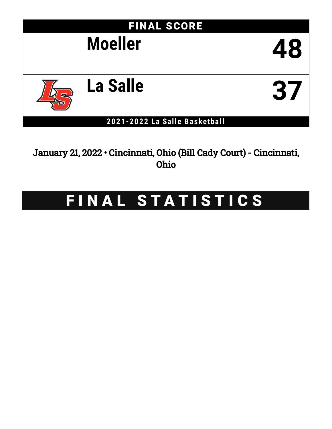

January 21, 2022 • Cincinnati, Ohio (Bill Cady Court) - Cincinnati, Ohio

# FINAL STATISTICS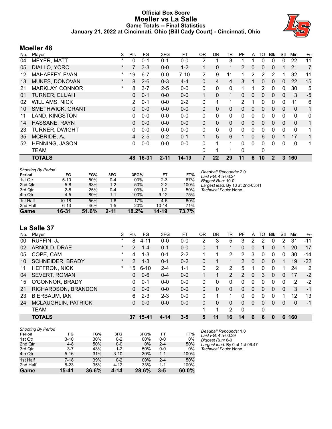## **Official Box Score Moeller vs La Salle Game Totals -- Final Statistics January 21, 2022 at Cincinnati, Ohio (Bill Cady Court) - Cincinnati, Ohio**



## **Moeller 48**

| No. | Player                  | S        | Pts      | FG      | 3FG      | <b>FT</b> | <b>OR</b>    | <b>DR</b>   | TR           | <b>PF</b>      | A            | TO            | <b>Blk</b>   | Stl          | Min          | $+/-$        |
|-----|-------------------------|----------|----------|---------|----------|-----------|--------------|-------------|--------------|----------------|--------------|---------------|--------------|--------------|--------------|--------------|
| 04  | MEYER, MATT             | $\star$  | 0        | $0 - 1$ | $0 - 1$  | $0 - 0$   | 2            | 1           | 3            |                |              | 0             | $\Omega$     | $\mathbf{0}$ | 22           | 11           |
| 05  | DIALLO, YORO            | $^\star$ |          | $3 - 3$ | $0 - 0$  | $1 - 2$   |              | $\mathbf 0$ |              | 2              | 0            | 0             | $\Omega$     |              | 21           | 7            |
| 12  | MAHAFFEY, EVAN          | *        | 19       | $6 - 7$ | $0 - 0$  | $7 - 10$  | 2            | 9           | 11           |                | 2            | 2             | 2            |              | 32           | 11           |
| 13  | MUKES, DONOVAN          | $\ast$   | 8        | $2 - 6$ | $0 - 3$  | $4 - 4$   | 0            | 4           | 4            | 3              |              | 0             | $\Omega$     | 0            | 22           | 15           |
| 21  | <b>MARKLAY, CONNOR</b>  | $\ast$   | 8        | $3 - 7$ | $2 - 5$  | $0-0$     | $\mathbf{0}$ | 0           | $\mathbf{0}$ |                |              | $\mathcal{P}$ | 0            | 0            | 30           | 5            |
| 01  | <b>TURNER, ELIJAH</b>   |          | 0        | $0 - 1$ | $0 - 0$  | $0 - 0$   |              | $\Omega$    | $\mathbf 1$  | 0              | 0            | 0             | $\mathbf{0}$ | $\mathbf{0}$ | 3            | $-5$         |
| 02  | <b>WILLIAMS, NICK</b>   |          | 2        | $0 - 1$ | $0 - 0$  | $2 - 2$   | 0            | 1           |              | $\overline{2}$ | 1            | 0             | 0            | 0            | 11           | 6            |
| 10  | <b>SMETHWICK, GRANT</b> |          | $\Omega$ | $0 - 0$ | $0 - 0$  | $0 - 0$   | $\mathbf{0}$ | 0           | $\mathbf{0}$ | 0              | 0            | $\Omega$      | $\mathbf{0}$ | $\mathbf{0}$ | $\mathbf{0}$ | 1            |
| 11  | LAND, KINGSTON          |          | 0        | $0 - 0$ | $0 - 0$  | $0 - 0$   | 0            | 0           | $\mathbf{0}$ | 0              | 0            | 0             | $\Omega$     | $\Omega$     | 0            | 0            |
| 14  | HASSANE, RAYN           |          | 0        | $0 - 0$ | $0 - 0$  | $0 - 0$   | $\mathbf{0}$ | $\Omega$    | $\mathbf{0}$ | 0              | 0            | 0             | 0            | $\mathbf{0}$ | $\mathbf{0}$ | 1            |
| 23  | <b>TURNER, DWIGHT</b>   |          | 0        | $0 - 0$ | $0 - 0$  | $0-0$     | $\mathbf{0}$ | 0           | $\mathbf{0}$ | 0              | $\mathbf{0}$ | $\mathbf{0}$  | $\mathbf 0$  | 0            | $\Omega$     | 1            |
| 35  | MCBRIDE, AJ             |          | 4        | $2 - 5$ | $0 - 2$  | $0 - 1$   | $\mathbf{1}$ | 5           | 6            |                | 0            | 6             | $\mathbf{0}$ | 1            | 17           | $\mathbf{1}$ |
| 52  | <b>HENNING, JASON</b>   |          | 0        | $0 - 0$ | $0 - 0$  | $0 - 0$   | 0            | 1           |              | 0              | 0            | 0             | 0            | 0            | 0            | 1            |
|     | <b>TEAM</b>             |          |          |         |          |           | 0            | 1           |              | 0              |              | 0             |              |              |              |              |
|     | <b>TOTALS</b>           |          | 48       | 16-31   | $2 - 11$ | 14-19     | 7            | 22          | 29           | 11             | 6            | 10            | $\mathbf 2$  | 3            | 160          |              |

| <b>Shooting By Period</b> |           |       |          |        |           |       |
|---------------------------|-----------|-------|----------|--------|-----------|-------|
| Period                    | FG        | FG%   | 3FG      | 3FG%   | FT        | FT%   |
| 1st Qtr                   | $5 - 10$  | 50%   | $0 - 4$  | 00%    | $2 - 3$   | 67%   |
| 2nd Qtr                   | $5-8$     | 63%   | $1 - 2$  | 50%    | $2 - 2$   | 100%  |
| 3rd Qtr                   | $2 - 8$   | 25%   | $0 - 4$  | $00\%$ | $1 - 2$   | 50%   |
| 4th Qtr                   | $4 - 5$   | 80%   | $1 - 1$  | 100%   | $9 - 12$  | 75%   |
| 1st Half                  | $10 - 18$ | 56%   | $1 - 6$  | 17%    | $4 - 5$   | 80%   |
| 2nd Half                  | $6 - 13$  | 46%   | $1-5$    | 20%    | $10 - 14$ | 71%   |
| Game                      | 16-31     | 51.6% | $2 - 11$ | 18.2%  | $14 - 19$ | 73.7% |

*Deadball Rebounds:* 2,0 *Last FG:* 4th-03:24 *Biggest Run:* 10-0 *Largest lead:* By 13 at 2nd-03:41 *Technical Fouls:* None.

# **La Salle 37**

| No. | Player                  | S       | Pts            | FG        | 3FG     | FT      | 0 <sub>R</sub> | DR       | TR             | РF             | A              | TO | Blk      | Stl | Min | $+/-$ |
|-----|-------------------------|---------|----------------|-----------|---------|---------|----------------|----------|----------------|----------------|----------------|----|----------|-----|-----|-------|
| 00  | RUFFIN, JJ              | $\ast$  | 8              | $4 - 11$  | $0 - 0$ | $0 - 0$ | $\overline{2}$ | 3        | 5              | 3              | $\overline{2}$ | 2  | 0        | 2   | 31  | $-11$ |
| 02  | ARNOLD, DRAE            | $\star$ | 2              | $1 - 4$   | $0 - 1$ | $0 - 0$ | 0              |          |                | 0              | 0              |    | 0        |     | 20  | $-17$ |
| 05  | COPE, CAM               | $\ast$  | 4              | $1 - 3$   | $0 - 1$ | $2 - 2$ | 1              |          | 2              | $\overline{2}$ | 3              | 0  | 0        | 0   | 30  | -14   |
| 10  | <b>SCHNEIDER, BRADY</b> | $\star$ | $\overline{2}$ | $1 - 3$   | $0 - 1$ | $0 - 2$ | 0              |          |                | $\overline{2}$ | $\Omega$       | 0  | 0        |     | 19  | $-22$ |
| 11  | <b>HEFFRON, NICK</b>    | $\ast$  | 15             | $6 - 10$  | $2 - 4$ | $1 - 1$ | $\Omega$       | 2        | 2              | 5              |                | O  | 0        |     | 24  | 2     |
| 04  | <b>SEVERT, ROMAN</b>    |         | 0              | $0 - 6$   | $0 - 4$ | $0 - 0$ | 1.             | 1        | $\overline{2}$ | $\mathcal{P}$  | $\mathbf{0}$   | 3  | $\Omega$ | 0   | 17  | $-2$  |
| 15  | O'CONNOR, BRADY         |         | 0              | $0 - 1$   | $0 - 0$ | $0 - 0$ | 0              | 0        | 0              | 0              | 0              | 0  | $\Omega$ | 0   | 2   | $-2$  |
| 21  | RICHARDSON, BRANDON     |         | 0              | $0 - 0$   | $0 - 0$ | $0 - 0$ | $\Omega$       | $\Omega$ | 0              | $\Omega$       | $\Omega$       | 0  | $\Omega$ | 0   | 3   | -1    |
| 23  | BIERBAUM, IAN           |         | 6.             | $2 - 3$   | $2 - 3$ | $0 - 0$ | $\Omega$       |          |                | 0              | 0              | 0  | 0        |     | 12  | 13    |
| 24  | MCLAUGHLIN, PATRICK     |         | 0              | $0 - 0$   | $0 - 0$ | $0 - 0$ | 0              | 0        | 0              | 0              | $\Omega$       | 0  | 0        | 0   | 0   | -1    |
|     | <b>TEAM</b>             |         |                |           |         |         | 1              | 1        | 2              | 0              |                | 0  |          |     |     |       |
|     | <b>TOTALS</b>           |         | 37             | $15 - 41$ | 4-14    | $3 - 5$ | 5              | 11       | 16             | 14             | 6              | 6  | 0        | 6   | 160 |       |

| <b>Shooting By Period</b> |          |       |          |       |         |          |
|---------------------------|----------|-------|----------|-------|---------|----------|
| Period                    | FG       | FG%   | 3FG      | 3FG%  | FT      | FT%      |
| 1st Qtr                   | $3 - 10$ | 30%   | $0 - 2$  | 00%   | $0-0$   | 0%       |
| 2nd Qtr                   | $4 - 8$  | 50%   | $0 - 0$  | $0\%$ | $2 - 4$ | 50%      |
| 3rd Qtr                   | $3 - 7$  | 43%   | $1 - 2$  | 50%   | $0-0$   | 0%       |
| 4th Qtr                   | $5 - 16$ | 31%   | $3 - 10$ | 30%   | $1 - 1$ | 100%     |
| 1st Half                  | $7-18$   | 39%   | $0 - 2$  | 00%   | $2 - 4$ | 50%      |
| 2nd Half                  | $8 - 23$ | 35%   | $4 - 12$ | 33%   | 1-1     | 100%     |
| Game                      | 15-41    | 36.6% | 4-14     | 28.6% | $3 - 5$ | $60.0\%$ |

*Deadball Rebounds:* 1,0 *Last FG:* 4th-00:39 *Biggest Run:* 6-0 *Largest lead:* By 0 at 1st-06:47 *Technical Fouls:* None.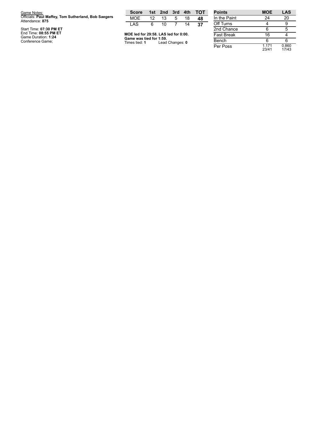| <b>Points</b>     | <b>MOE</b> | LAS |
|-------------------|------------|-----|
| In the Paint      |            | 20  |
| Off Turns         |            |     |
| 2nd Chance        |            |     |
| <b>Fast Break</b> |            |     |
| Bench             |            |     |
|                   |            |     |

0.8 6 0 1 7 / 4 3

1.1 7 1 2 3 / 4 1

Per Poss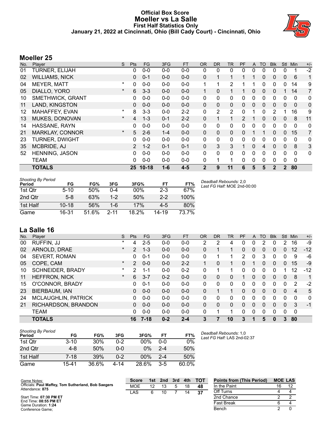## **Official Box Score Moeller vs La Salle First Half Statistics Only January 21, 2022 at Cincinnati, Ohio (Bill Cady Court) - Cincinnati, Ohio**



# **Moeller 25**

| No. | Player                  | S.       | <b>Pts</b>     | <b>FG</b> | 3FG     | <b>FT</b> | <b>OR</b>    | <b>DR</b>      | <b>TR</b>      | PF            | A            | TO           | <b>Blk</b>   | <b>Stl</b>     | Min      | $+/-$          |
|-----|-------------------------|----------|----------------|-----------|---------|-----------|--------------|----------------|----------------|---------------|--------------|--------------|--------------|----------------|----------|----------------|
| 01  | <b>TURNER, ELIJAH</b>   |          | 0              | $0 - 0$   | $0-0$   | $0-0$     | 0            | 0              | 0              | 0             | 0            | 0            | 0            | 0              | 1        | $-2$           |
| 02  | <b>WILLIAMS, NICK</b>   |          | 0              | $0 - 1$   | $0 - 0$ | $0-0$     | $\mathbf{0}$ |                | 1.             |               |              | 0            | 0            | $\mathbf{0}$   | 6        | 1              |
| 04  | <b>MEYER, MATT</b>      | $\star$  | 0              | $0 - 0$   | $0-0$   | $0-0$     |              |                | 2              |               |              | 0            | 0            | 0              | 14       | 9              |
| 05  | DIALLO, YORO            | $^\star$ | 6              | $3 - 3$   | $0 - 0$ | $0 - 0$   | 1            | $\Omega$       | $\mathbf{1}$   |               | $\Omega$     | $\mathbf{0}$ | 0            | 1.             | 14       | $\overline{7}$ |
| 10  | <b>SMETHWICK, GRANT</b> |          | 0              | $0 - 0$   | $0 - 0$ | $0-0$     | 0            | 0              | 0              | 0             | $\Omega$     | 0            | 0            | 0              | 0        | 0              |
| 11  | LAND, KINGSTON          |          | 0              | $0 - 0$   | $0 - 0$ | $0 - 0$   | $\mathbf{0}$ | $\Omega$       | 0              | 0             | $\mathbf{0}$ | 0            | 0            | $\mathbf{0}$   | $\Omega$ | $\mathbf 0$    |
| 12  | MAHAFFEY, EVAN          | $\star$  | 8              | $3 - 3$   | $0 - 0$ | $2 - 2$   | 0            | $\overline{2}$ | $\overline{2}$ | 0             |              | 0            | 2            |                | 16       | 9              |
| 13  | MUKES, DONOVAN          | $\ast$   | 4              | $1 - 3$   | $0 - 1$ | $2 - 2$   | $\mathbf{0}$ |                | 1              | $\mathcal{P}$ |              | 0            | 0            | 0              | 8        | 11             |
| 14  | HASSANE, RAYN           |          | 0              | $0 - 0$   | $0-0$   | $0-0$     | 0            | 0              | 0              | 0             | $\mathbf 0$  | $\mathbf{0}$ | 0            | $\mathbf 0$    | 0        | 0              |
| 21  | <b>MARKLAY, CONNOR</b>  | $\star$  | 5              | $2 - 6$   | $1 - 4$ | $0 - 0$   | $\mathbf{0}$ | $\mathbf{0}$   | 0              | 0             |              |              | 0            | $\mathbf{0}$   | 15       | $\overline{7}$ |
| 23  | <b>TURNER, DWIGHT</b>   |          | 0              | $0 - 0$   | $0 - 0$ | $0 - 0$   | 0            | 0              | 0              | 0             | 0            | 0            | 0            | 0              | 0        | 0              |
| 35  | MCBRIDE, AJ             |          | $\overline{2}$ | $1 - 2$   | $0 - 1$ | $0 - 1$   | $\mathbf{0}$ | 3              | 3              |               | $\mathbf{0}$ | 4            | 0            | $\mathbf{0}$   | 8        | 3              |
| 52  | <b>HENNING, JASON</b>   |          | 0              | $0 - 0$   | $0 - 0$ | $0 - 0$   | $\Omega$     | 0              | 0              | 0             | $\Omega$     | $\Omega$     | 0            | 0              | 0        | $\mathbf{0}$   |
|     | <b>TEAM</b>             |          | 0              | $0 - 0$   | $0 - 0$ | $0 - 0$   | 0            |                | 1              | 0             | $\mathbf 0$  | $\mathbf{0}$ | 0            | $\mathbf 0$    | 0        |                |
|     | <b>TOTALS</b>           |          | 25             | $10 - 18$ | $1 - 6$ | $4 - 5$   | $\mathbf{2}$ | 9              | 11             | 6             | 5            | 5            | $\mathbf{2}$ | $\overline{2}$ | 80       |                |

| <b>Shooting By Period</b><br>Period | FG        | FG%   | 3FG      | 3FG%  | FT      | FT%   | Deadball Rebou<br>Last FG Half: N |
|-------------------------------------|-----------|-------|----------|-------|---------|-------|-----------------------------------|
| 1st Qtr                             | $5 - 10$  | 50%   | 0-4      | 00%   | $2 - 3$ | 67%   |                                   |
| 2nd Qtr                             | $5 - 8$   | 63%   | $1-2$    | 50%   | $2 - 2$ | 100%  |                                   |
| 1st Half                            | $10 - 18$ | 56%   | 1-6      | 17%   | $4 - 5$ | 80%   |                                   |
| Game                                | 16-31     | 51.6% | $2 - 11$ | 18.2% | 14-19   | 73.7% |                                   |

#### *Deadball Rebounds:* 2,0 *Last FG Half:* MOE 2nd-00:00

## **La Salle 16**

| No. | Plaver                     | S       | Pts            | FG.      | 3FG     | <b>FT</b> | <b>OR</b> | <b>DR</b> | <b>TR</b> | PF       | A        | TO. | <b>Blk</b> | <b>Stl</b> | Min         | $+/-$ |
|-----|----------------------------|---------|----------------|----------|---------|-----------|-----------|-----------|-----------|----------|----------|-----|------------|------------|-------------|-------|
| 00  | RUFFIN, JJ                 | $\star$ | 4              | $2 - 5$  | $0 - 0$ | $0-0$     | 2         | 2         | 4         | 0        |          | 2   | 0          | 2          | 16          | -9    |
| 02  | ARNOLD, DRAE               | $\star$ | $\overline{2}$ | $1 - 3$  | $0 - 0$ | $0 - 0$   | 0         |           |           | 0        | 0        | 0   | 0          | 0          | 12          | $-12$ |
| 04  | <b>SEVERT, ROMAN</b>       |         | 0              | $0 - 1$  | $0 - 0$ | $0 - 0$   | $\Omega$  |           |           | 2        | 0        | 3   | 0          | 0          | 9           | -6    |
| 05  | COPE, CAM                  | $\star$ | $\overline{2}$ | $0 - 0$  | $0 - 0$ | $2 - 2$   |           | 0         | 1         | 0        |          | 0   | 0          | 0          | 15          | -9    |
| 10  | <b>SCHNEIDER, BRADY</b>    | $\star$ | 2              | 1-1      | $0 - 0$ | $0 - 2$   | $\Omega$  |           |           | 0        | 0        | 0   | 0          |            | 12          | $-12$ |
| 11  | <b>HEFFRON, NICK</b>       | $\star$ | 6              | $3 - 7$  | $0 - 2$ | $0 - 0$   | 0         | 0         | 0         |          | 0        | 0   | 0          | 0          | 8           | 1     |
| 15  | O'CONNOR, BRADY            |         | 0              | $0 - 1$  | $0 - 0$ | $0 - 0$   | $\Omega$  | $\Omega$  | 0         | $\Omega$ | $\Omega$ | 0   | 0          | 0          | 2           | $-2$  |
| 23  | BIERBAUM, IAN              |         | 0              | $0 - 0$  | $0 - 0$ | $0 - 0$   | 0         |           |           | 0        | $\Omega$ | 0   | 0          | $\Omega$   | 4           | 5     |
| 24  | <b>MCLAUGHLIN, PATRICK</b> |         | 0              | $0 - 0$  | $0 - 0$ | $0 - 0$   | 0         | 0         | 0         | $\Omega$ | $\Omega$ | 0   | 0          | 0          | $\Omega$    | 0     |
| 21  | RICHARDSON, BRANDON        |         | 0              | $0 - 0$  | $0 - 0$ | $0 - 0$   | 0         | $\Omega$  | 0         | 0        | 0        | 0   | 0          | $\Omega$   | 3           | -1    |
|     | <b>TEAM</b>                |         | 0              | $0 - 0$  | $0 - 0$ | $0 - 0$   | 0         |           | 1         | 0        | 0        | 0   | 0          | 0          | $\mathbf 0$ |       |
|     | <b>TOTALS</b>              |         | 16             | $7 - 18$ | $0 - 2$ | $2 - 4$   | 3         |           | 10        | 3        |          | 5   | 0          | 3          | 80          |       |

| <b>Shooting By Period</b><br>Period | FG       | FG%        | 3FG     | 3FG%   | FТ      | FT%   |
|-------------------------------------|----------|------------|---------|--------|---------|-------|
| 1st Otr                             | $3 - 10$ | <b>30%</b> | $0 - 2$ | 00%    | $0 - 0$ | 0%    |
| 2nd Qtr                             | $4-8$    | 50%        | $0 - 0$ | $0\%$  | $2 - 4$ | 50%   |
| 1st Half                            | $7 - 18$ | 39%        | $0 - 2$ | $00\%$ | $2 - 4$ | 50%   |
| Game                                | 15-41    | 36.6%      | 4-14    | 28.6%  | $3-5$   | 60.0% |

*Deadball Rebounds:* 1,0 *Last FG Half:* LAS 2nd-02:37

| Game Notes:                                                            | <b>Score</b> | 1st | 2nd | 3rd | $-4th$ | <b>TOT</b> | <b>Points from (This Period)</b> | <b>MOE LAS</b> |  |
|------------------------------------------------------------------------|--------------|-----|-----|-----|--------|------------|----------------------------------|----------------|--|
| Officials: Paul Maffey, Tom Sutherland, Bob Saegers<br>Attendance: 875 | <b>MOE</b>   | 12  |     |     | 18     | 48         | In the Paint                     | 16             |  |
|                                                                        | LAS          |     |     |     | 14     | 37         | Off Turns                        |                |  |
| Start Time: 07:30 PM ET                                                |              |     |     |     |        |            | 2nd Chance                       |                |  |
| End Time: 08:55 PM ET<br>Game Duration: 1:24                           |              |     |     |     |        |            | <b>Fast Break</b>                |                |  |
| Conference Game;                                                       |              |     |     |     |        |            | Bench                            |                |  |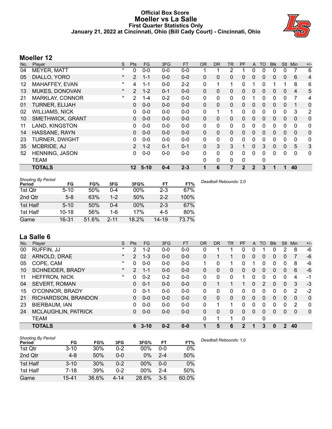## **Official Box Score Moeller vs La Salle First Quarter Statistics Only January 21, 2022 at Cincinnati, Ohio (Bill Cady Court) - Cincinnati, Ohio**



# **Moeller 12**

| No. | Player                  | S       | <b>Pts</b>      | <b>FG</b> | 3FG     | <b>FT</b> | <b>OR</b> | <b>DR</b>    | TR       | PF           | $\mathsf{A}$ | TO           | <b>Blk</b>   | <b>Stl</b>   | Min          | $+/-$        |
|-----|-------------------------|---------|-----------------|-----------|---------|-----------|-----------|--------------|----------|--------------|--------------|--------------|--------------|--------------|--------------|--------------|
| 04  | <b>MEYER, MATT</b>      | $\star$ | 0               | $0 - 0$   | $0 - 0$ | $0-0$     |           |              | 2        |              | 0            | $\Omega$     | 0            | 0            |              | 6            |
| 05  | DIALLO, YORO            | $\ast$  | $\overline{2}$  | $1 - 1$   | $0 - 0$ | $0-0$     | $\Omega$  | $\mathbf{0}$ | 0        | 0            | $\mathbf{0}$ | $\mathbf{0}$ | 0            | $\mathbf{0}$ | 6            | 4            |
| 12  | MAHAFFEY, EVAN          | $\star$ | 4               | $1 - 1$   | $0-0$   | $2 - 2$   | 0         |              | 1        | 0            |              | 0            |              |              | 8            | 6            |
| 13  | MUKES, DONOVAN          | $\star$ | $\overline{2}$  | $1 - 2$   | $0 - 1$ | $0 - 0$   | $\Omega$  | $\Omega$     | 0        | $\Omega$     | $\mathbf{0}$ | $\mathbf{0}$ | $\mathbf{0}$ | $\mathbf{0}$ | 4            | 5            |
| 21  | MARKLAY, CONNOR         | $\star$ | 2               | $1 - 4$   | $0 - 2$ | $0-0$     | 0         | 0            | 0        | 0            |              | 0            | 0            | 0            | 7            | 4            |
| 01  | <b>TURNER, ELIJAH</b>   |         | 0               | $0 - 0$   | $0 - 0$ | $0 - 0$   | $\Omega$  | $\mathbf{0}$ | 0        | 0            | $\mathbf{0}$ | 0            | 0            | $\mathbf{0}$ |              | $\mathbf 0$  |
| 02  | <b>WILLIAMS, NICK</b>   |         | 0               | $0 - 0$   | $0 - 0$ | $0 - 0$   | 0         |              | 1        | $\Omega$     | $\mathbf{0}$ | $\Omega$     | $\Omega$     | $\mathbf{0}$ | 3            | 2            |
| 10  | <b>SMETHWICK, GRANT</b> |         | 0               | $0 - 0$   | $0 - 0$ | $0 - 0$   | $\Omega$  | $\mathbf{0}$ | 0        | 0            | $\Omega$     | $\Omega$     | $\Omega$     | $\Omega$     | $\Omega$     | $\mathbf 0$  |
| 11  | LAND, KINGSTON          |         | 0               | $0 - 0$   | $0-0$   | $0-0$     | 0         | 0            | 0        | 0            | 0            | 0            | 0            | $\mathbf{0}$ | $\mathbf{0}$ | 0            |
| 14  | HASSANE, RAYN           |         | 0               | $0 - 0$   | $0 - 0$ | $0 - 0$   | $\Omega$  | $\Omega$     | $\Omega$ | $\Omega$     | $\mathbf{0}$ | $\mathbf{0}$ | $\Omega$     | $\mathbf{0}$ | $\mathbf{0}$ | $\mathbf 0$  |
| 23  | <b>TURNER, DWIGHT</b>   |         | 0               | $0 - 0$   | $0 - 0$ | $0-0$     | 0         | 0            | 0        | 0            | 0            | 0            | 0            | 0            | $\mathbf{0}$ | $\mathbf{0}$ |
| 35  | MCBRIDE, AJ             |         | $\overline{2}$  | $1 - 2$   | $0 - 1$ | $0 - 1$   | $\Omega$  | 3            | 3        |              | $\mathbf{0}$ | 3            | $\Omega$     | $\Omega$     | 5            | 3            |
| 52  | <b>HENNING, JASON</b>   |         | 0               | $0 - 0$   | $0-0$   | $0 - 0$   | 0         | $\Omega$     | 0        | $\Omega$     | 0            | 0            | 0            | 0            | $\Omega$     | $\mathbf{0}$ |
|     | <b>TEAM</b>             |         |                 |           |         |           | $\Omega$  | 0            | 0        | 0            |              | 0            |              |              |              |              |
|     | <b>TOTALS</b>           |         | 12 <sup>°</sup> | $5-10$    | $0 - 4$ | $2 - 3$   |           | 6            | 7        | $\mathbf{2}$ | $\mathbf{2}$ | 3            |              |              | 40           |              |

| <b>Shooting By Period</b><br>Period | FG        | FG%   | 3FG      | 3FG%   | FT        | FT%   |
|-------------------------------------|-----------|-------|----------|--------|-----------|-------|
| 1st Qtr                             | $5 - 10$  | 50%   | 0-4      | $00\%$ | $2 - 3$   | 67%   |
| 2nd Qtr                             | $5 - 8$   | 63%   | $1 - 2$  | 50%    | $2 - 2$   | 100%  |
| 1st Half                            | $5 - 10$  | 50%   | $0 - 4$  | $00\%$ | $2 - 3$   | 67%   |
| 1st Half                            | $10 - 18$ | 56%   | 1-6      | 17%    | $4-5$     | 80%   |
| Game                                | 16-31     | 51.6% | $2 - 11$ | 18.2%  | $14 - 19$ | 73.7% |

# **La Salle 6**

| No. | Plaver                     | S       | <b>Pts</b>     | FG       | 3FG     | <b>FT</b> | <b>OR</b> | <b>DR</b> | TR | <b>PF</b> | A        | TO            | <b>Blk</b>   | Stl      | Min            | $+/-$        |
|-----|----------------------------|---------|----------------|----------|---------|-----------|-----------|-----------|----|-----------|----------|---------------|--------------|----------|----------------|--------------|
| 00  | RUFFIN, JJ                 | $\star$ | 2              | $1 - 2$  | $0 - 0$ | $0 - 0$   | 0         |           |    | 0         | 0        |               | 0            | 2        | 8              | $-6$         |
| 02  | ARNOLD, DRAE               | $\star$ | $\overline{2}$ | $1 - 3$  | $0 - 0$ | $0 - 0$   | 0         |           |    | 0         | 0        | 0             | 0            | 0        |                | -6           |
| 05  | COPE, CAM                  | $\star$ | $\Omega$       | $0 - 0$  | $0 - 0$ | $0 - 0$   |           | 0         |    | $\Omega$  |          | 0             | 0            | 0        | 8              | -6           |
| 10  | <b>SCHNEIDER, BRADY</b>    | $\star$ | $\overline{2}$ | $1 - 1$  | $0 - 0$ | $0 - 0$   | 0         | 0         | 0  | 0         | 0        | 0             | 0            | 0        | 6              | $-6$         |
| 11  | <b>HEFFRON, NICK</b>       | $\ast$  | 0              | $0 - 2$  | $0 - 2$ | $0 - 0$   | 0         | 0         | 0  |           | 0        | 0             | <sup>0</sup> | 0        | 4              | $-1$         |
| 04  | <b>SEVERT, ROMAN</b>       |         | 0              | $0 - 1$  | $0 - 0$ | $0 - 0$   | 0         | 1         |    |           | 0        | $\mathcal{P}$ | 0            | 0        | 3              | $-3$         |
| 15  | O'CONNOR, BRADY            |         | 0              | $0 - 1$  | $0 - 0$ | $0 - 0$   | 0         | 0         | 0  | 0         | 0        | 0             | 0            | $\Omega$ | $\overline{2}$ | $-2$         |
| 21  | RICHARDSON, BRANDON        |         | 0              | $0 - 0$  | $0 - 0$ | $0-0$     | 0         | 0         | 0  | $\Omega$  | $\Omega$ | 0             | $\Omega$     | $\Omega$ | $\mathbf{0}$   | $\mathbf{0}$ |
| 23  | BIERBAUM, IAN              |         | 0              | $0 - 0$  | $0 - 0$ | $0 - 0$   | 0         | 1         |    | 0         | 0        | 0             | <sup>0</sup> | 0        | 2              | $\mathbf 0$  |
| 24  | <b>MCLAUGHLIN, PATRICK</b> |         | 0              | $0 - 0$  | $0 - 0$ | $0 - 0$   | 0         | 0         | 0  | 0         | 0        | 0             | 0            | $\Omega$ | $\mathbf{0}$   | $\mathbf{0}$ |
|     | <b>TEAM</b>                |         |                |          |         |           | 0         | 1         |    | $\Omega$  |          | 0             |              |          |                |              |
|     | <b>TOTALS</b>              |         | 6              | $3 - 10$ | $0 - 2$ | $0 - 0$   |           | 5         | 6  | 2         |          | 3             | $\mathbf{u}$ | 2        | 40             |              |

| <b>Shooting By Period</b> |          |       |         |        |         |       |
|---------------------------|----------|-------|---------|--------|---------|-------|
| Period                    | FG       | FG%   | 3FG     | 3FG%   | FT      | FT%   |
| 1st Qtr                   | $3 - 10$ | 30%   | $0 - 2$ | 00%    | $0 - 0$ | $0\%$ |
| 2nd Qtr                   | $4 - 8$  | 50%   | $0 - 0$ | $0\%$  | $2 - 4$ | 50%   |
| 1st Half                  | $3 - 10$ | 30%   | $0 - 2$ | $00\%$ | $0 - 0$ | $0\%$ |
| 1st Half                  | $7 - 18$ | 39%   | $0 - 2$ | $00\%$ | $2 - 4$ | 50%   |
| Game                      | 15-41    | 36.6% | 4-14    | 28.6%  | $3-5$   | 60.0% |

*Deadball Rebounds:* 1,0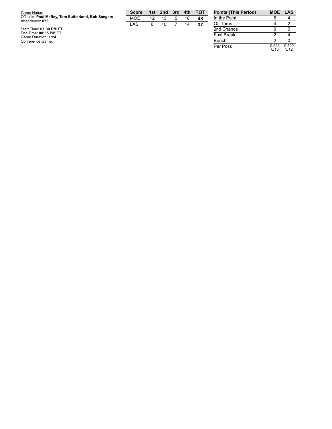| Game Notes:                                                            | <b>Score</b> | 1st | 2nd 3rd | 4th | <b>TOT</b> | <b>Points (This Period)</b> | MOE LAS |  |
|------------------------------------------------------------------------|--------------|-----|---------|-----|------------|-----------------------------|---------|--|
| Officials: Paul Maffey, Tom Sutherland, Bob Saegers<br>Attendance: 875 | <b>MOE</b>   | 12  |         | 18  | 48         | In the Paint                |         |  |
|                                                                        | LAS          |     |         | 14  | 37         | Off Turns                   |         |  |
| Start Time: 07:30 PM ET                                                |              |     |         |     |            | 2nd Chance                  |         |  |
| End Time: 08:55 PM ET<br>Game Duration: 1:24                           |              |     |         |     |            | <b>Fast Break</b>           |         |  |
| Conference Game;                                                       |              |     |         |     |            | Bench                       |         |  |

0.5 0 0 3 / 1 2

0.9 2 3 6 / 1 3

Per Poss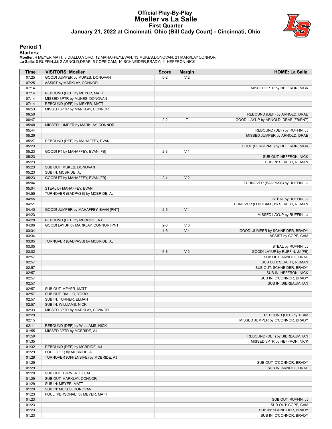#### **Official Play-By-Play Moeller vs La Salle First Quarter January 21, 2022 at Cincinnati, Ohio (Bill Cady Court) - Cincinnati, Ohio**



#### **Period 1**

#### **Starters:**

**Moeller**: 4 MEYER,MATT; 5 DIALLO,YORO; 12 MAHAFFEY,EVAN; 13 MUKES,DONOVAN; 21 MARKLAY,CONNOR; **La Salle**: 0 RUFFIN,JJ; 2 ARNOLD,DRAE; 5 COPE,CAM; 10 SCHNEIDER,BRADY; 11 HEFFRON,NICK;

| Time           | <b>VISITORS: Moeller</b>                                         | <b>Score</b> | <b>Margin</b>  | <b>HOME: La Salle</b>                                                 |
|----------------|------------------------------------------------------------------|--------------|----------------|-----------------------------------------------------------------------|
| 07:25          | GOOD! JUMPER by MUKES, DONOVAN                                   | $0 - 2$      | V <sub>2</sub> |                                                                       |
| 07:25          | ASSIST by MARKLAY, CONNOR                                        |              |                |                                                                       |
| 07:14          |                                                                  |              |                | MISSED 3PTR by HEFFRON, NICK                                          |
| 07:14          | REBOUND (DEF) by MEYER, MATT                                     |              |                |                                                                       |
| 07:14          | MISSED 3PTR by MUKES, DONOVAN                                    |              |                |                                                                       |
| 07:14          | REBOUND (OFF) by MEYER, MATT                                     |              |                |                                                                       |
| 06:53          | MISSED 3PTR by MARKLAY, CONNOR                                   |              |                |                                                                       |
| 06:50<br>06:47 |                                                                  |              |                | REBOUND (DEF) by ARNOLD, DRAE<br>GOOD! LAYUP by ARNOLD, DRAE [FB/PNT] |
| 05:48          | MISSED JUMPER by MARKLAY, CONNOR                                 | $2 - 2$      | т              |                                                                       |
| 05:44          |                                                                  |              |                | REBOUND (DEF) by RUFFIN, JJ                                           |
| 05:29          |                                                                  |              |                | MISSED JUMPER by ARNOLD, DRAE                                         |
| 05:27          | REBOUND (DEF) by MAHAFFEY, EVAN                                  |              |                |                                                                       |
| 05:23          |                                                                  |              |                | FOUL (PERSONAL) by HEFFRON, NICK                                      |
| 05:23          | GOOD! FT by MAHAFFEY, EVAN [FB]                                  | $2 - 3$      | V <sub>1</sub> |                                                                       |
| 05:23          |                                                                  |              |                | SUB OUT: HEFFRON, NICK                                                |
| 05:23          |                                                                  |              |                | SUB IN: SEVERT, ROMAN                                                 |
| 05:23          | SUB OUT: MUKES, DONOVAN                                          |              |                |                                                                       |
| 05:23          | SUB IN: MCBRIDE, AJ                                              |              |                |                                                                       |
| 05:23          | GOOD! FT by MAHAFFEY, EVAN [FB]                                  | $2 - 4$      | V <sub>2</sub> |                                                                       |
| 05:04          |                                                                  |              |                | TURNOVER (BADPASS) by RUFFIN, JJ                                      |
| 05:04          | STEAL by MAHAFFEY, EVAN                                          |              |                |                                                                       |
| 04:55          | TURNOVER (BADPASS) by MCBRIDE, AJ                                |              |                |                                                                       |
| 04:55          |                                                                  |              |                | STEAL by RUFFIN, JJ                                                   |
| 04:51<br>04:40 | GOOD! JUMPER by MAHAFFEY, EVAN [PNT]                             | $2-6$        | V <sub>4</sub> | TURNOVER (LOSTBALL) by SEVERT, ROMAN                                  |
| 04:23          |                                                                  |              |                | MISSED LAYUP by RUFFIN, JJ                                            |
| 04:20          | REBOUND (DEF) by MCBRIDE, AJ                                     |              |                |                                                                       |
| 04:06          | GOOD! LAYUP by MARKLAY, CONNOR [PNT]                             | $2 - 8$      | $V_6$          |                                                                       |
| 03:34          |                                                                  | $4 - 8$      | V <sub>4</sub> | GOOD! JUMPER by SCHNEIDER, BRADY                                      |
| 03:34          |                                                                  |              |                | ASSIST by COPE, CAM                                                   |
| 03:05          | TURNOVER (BADPASS) by MCBRIDE, AJ                                |              |                |                                                                       |
| 03:05          |                                                                  |              |                | STEAL by RUFFIN, JJ                                                   |
| 03:02          |                                                                  | $6 - 8$      | V <sub>2</sub> | GOOD! LAYUP by RUFFIN, JJ [FB]                                        |
| 02:57          |                                                                  |              |                | SUB OUT: ARNOLD, DRAE                                                 |
| 02:57          |                                                                  |              |                | SUB OUT: SEVERT, ROMAN                                                |
| 02:57          |                                                                  |              |                | SUB OUT: SCHNEIDER, BRADY                                             |
| 02:57          |                                                                  |              |                | SUB IN: HEFFRON, NICK                                                 |
| 02:57<br>02:57 |                                                                  |              |                | SUB IN: O'CONNOR, BRADY<br>SUB IN: BIERBAUM, IAN                      |
| 02:57          | SUB OUT: MEYER, MATT                                             |              |                |                                                                       |
| 02:57          | SUB OUT: DIALLO, YORO                                            |              |                |                                                                       |
| 02:57          | SUB IN: TURNER, ELIJAH                                           |              |                |                                                                       |
| 02:57          | SUB IN: WILLIAMS, NICK                                           |              |                |                                                                       |
| 02:33          | MISSED 3PTR by MARKLAY, CONNOR                                   |              |                |                                                                       |
| 02:29          |                                                                  |              |                | REBOUND (DEF) by TEAM                                                 |
| 02:15          |                                                                  |              |                | MISSED JUMPER by O'CONNOR, BRADY                                      |
| 02:11          | REBOUND (DEF) by WILLIAMS, NICK                                  |              |                |                                                                       |
| 01:55          | MISSED 3PTR by MCBRIDE, AJ                                       |              |                |                                                                       |
| 01:50          |                                                                  |              |                | REBOUND (DEF) by BIERBAUM, IAN                                        |
| 01:35          |                                                                  |              |                | MISSED 3PTR by HEFFRON, NICK                                          |
| 01:32          | REBOUND (DEF) by MCBRIDE, AJ                                     |              |                |                                                                       |
| 01:29<br>01:29 | FOUL (OFF) by MCBRIDE, AJ<br>TURNOVER (OFFENSIVE) by MCBRIDE, AJ |              |                |                                                                       |
| 01:29          |                                                                  |              |                | SUB OUT: O'CONNOR, BRADY                                              |
| 01:29          |                                                                  |              |                | SUB IN: ARNOLD, DRAE                                                  |
| 01:29          | SUB OUT: TURNER, ELIJAH                                          |              |                |                                                                       |
| 01:29          | SUB OUT: MARKLAY, CONNOR                                         |              |                |                                                                       |
| 01:29          | SUB IN: MEYER, MATT                                              |              |                |                                                                       |
| 01:29          | SUB IN: MUKES, DONOVAN                                           |              |                |                                                                       |
| 01:23          | FOUL (PERSONAL) by MEYER, MATT                                   |              |                |                                                                       |
| 01:23          |                                                                  |              |                | SUB OUT: RUFFIN, JJ                                                   |
| 01:23          |                                                                  |              |                | SUB OUT: COPE, CAM                                                    |
| 01:23          |                                                                  |              |                | SUB IN: SCHNEIDER, BRADY                                              |
| 01:23          |                                                                  |              |                | SUB IN: O'CONNOR, BRADY                                               |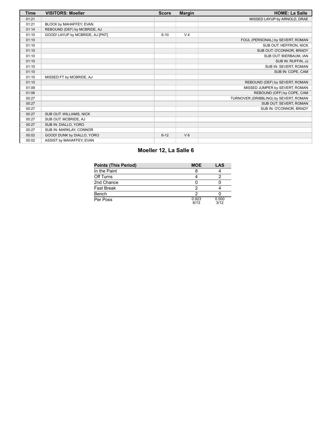| <b>Time</b> | <b>VISITORS: Moeller</b>         | <b>Score</b> | <b>Margin</b>  | <b>HOME: La Salle</b>                 |
|-------------|----------------------------------|--------------|----------------|---------------------------------------|
| 01:21       |                                  |              |                | MISSED LAYUP by ARNOLD, DRAE          |
| 01:21       | BLOCK by MAHAFFEY, EVAN          |              |                |                                       |
| 01:14       | REBOUND (DEF) by MCBRIDE, AJ     |              |                |                                       |
| 01:10       | GOOD! LAYUP by MCBRIDE, AJ [PNT] | $6 - 10$     | V <sub>4</sub> |                                       |
| 01:10       |                                  |              |                | FOUL (PERSONAL) by SEVERT, ROMAN      |
| 01:10       |                                  |              |                | SUB OUT: HEFFRON, NICK                |
| 01:10       |                                  |              |                | SUB OUT: O'CONNOR, BRADY              |
| 01:10       |                                  |              |                | SUB OUT: BIERBAUM, IAN                |
| 01:10       |                                  |              |                | SUB IN: RUFFIN, JJ                    |
| 01:10       |                                  |              |                | SUB IN: SEVERT, ROMAN                 |
| 01:10       |                                  |              |                | SUB IN: COPE, CAM                     |
| 01:10       | MISSED FT by MCBRIDE, AJ         |              |                |                                       |
| 01:10       |                                  |              |                | REBOUND (DEF) by SEVERT, ROMAN        |
| 01:09       |                                  |              |                | MISSED JUMPER by SEVERT, ROMAN        |
| 01:06       |                                  |              |                | REBOUND (OFF) by COPE, CAM            |
| 00:27       |                                  |              |                | TURNOVER (DRIBBLING) by SEVERT, ROMAN |
| 00:27       |                                  |              |                | SUB OUT: SEVERT, ROMAN                |
| 00:27       |                                  |              |                | SUB IN: O'CONNOR, BRADY               |
| 00:27       | SUB OUT: WILLIAMS, NICK          |              |                |                                       |
| 00:27       | SUB OUT: MCBRIDE, AJ             |              |                |                                       |
| 00:27       | SUB IN: DIALLO, YORO             |              |                |                                       |
| 00:27       | SUB IN: MARKLAY, CONNOR          |              |                |                                       |
| 00:02       | GOOD! DUNK by DIALLO, YORO       | $6 - 12$     | $V_6$          |                                       |
| 00:02       | ASSIST by MAHAFFEY, EVAN         |              |                |                                       |

## **Moeller 12, La Salle 6**

| <b>Points (This Period)</b> | <b>MOE</b>    | LAS           |
|-----------------------------|---------------|---------------|
| In the Paint                |               |               |
| Off Turns                   |               |               |
| 2nd Chance                  |               |               |
| <b>Fast Break</b>           |               |               |
| Bench                       |               |               |
| Per Poss                    | 0.923<br>6/13 | 0.500<br>3/12 |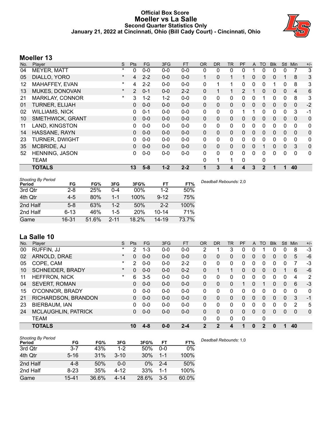## **Official Box Score Moeller vs La Salle Second Quarter Statistics Only January 21, 2022 at Cincinnati, Ohio (Bill Cady Court) - Cincinnati, Ohio**



# **Moeller 13**

| No. | Player                  | S       | <b>Pts</b>    | <b>FG</b> | 3FG     | <b>FT</b> | <b>OR</b>    | <b>DR</b>    | <b>TR</b> | PF            | A            | TO           | <b>Blk</b> | <b>Stl</b>   | Min            | $+/-$ |
|-----|-------------------------|---------|---------------|-----------|---------|-----------|--------------|--------------|-----------|---------------|--------------|--------------|------------|--------------|----------------|-------|
| 04  | <b>MEYER, MATT</b>      | $\star$ | 0             | $0 - 0$   | $0 - 0$ | $0 - 0$   | 0            | 0            | 0         | 0             |              | 0            | 0          | 0            | 7              | 3     |
| 05  | DIALLO, YORO            | $\ast$  | 4             | $2 - 2$   | $0 - 0$ | $0-0$     | 1            | 0            | 1         |               | $\Omega$     | 0            | 0          |              | 8              | 3     |
| 12  | MAHAFFEY, EVAN          | $\ast$  | 4             | $2 - 2$   | $0 - 0$ | $0-0$     | 0            |              | 1         | 0             | $\mathbf{0}$ | 0            |            | 0            | 8              | 3     |
| 13  | MUKES, DONOVAN          | $\star$ | $\mathcal{P}$ | $0 - 1$   | $0 - 0$ | $2 - 2$   | $\mathbf{0}$ |              | 1         | $\mathcal{P}$ | 1            | $\Omega$     | 0          | $\Omega$     | $\overline{4}$ | 6     |
| 21  | <b>MARKLAY, CONNOR</b>  | $\ast$  | 3             | $1 - 2$   | $1 - 2$ | $0-0$     | $\mathbf{0}$ | 0            | 0         | 0             | $\Omega$     |              | 0          | 0            | 8              | 3     |
| 01  | <b>TURNER, ELIJAH</b>   |         | 0             | $0 - 0$   | $0 - 0$ | $0-0$     | $\mathbf{0}$ | $\mathbf{0}$ | 0         | 0             | $\mathbf{0}$ | 0            | 0          | $\mathbf{0}$ | 0              | $-2$  |
| 02  | <b>WILLIAMS, NICK</b>   |         | $\Omega$      | $0 - 1$   | $0 - 0$ | $0-0$     | $\mathbf{0}$ | $\mathbf{0}$ | 0         | 1             |              | 0            | 0          | $\Omega$     | 3              | $-1$  |
| 10  | <b>SMETHWICK, GRANT</b> |         | 0             | $0 - 0$   | $0 - 0$ | $0-0$     | $\mathbf{0}$ | 0            | 0         | $\Omega$      | $\Omega$     | 0            | 0          | $\mathbf{0}$ | $\Omega$       | 0     |
| 11  | LAND, KINGSTON          |         | 0             | $0 - 0$   | $0-0$   | $0-0$     | $\mathbf{0}$ | 0            | 0         | 0             | 0            | 0            | 0          | $\mathbf 0$  | 0              | 0     |
| 14  | HASSANE, RAYN           |         | $\Omega$      | $0 - 0$   | $0 - 0$ | $0 - 0$   | $\Omega$     | $\Omega$     | 0         | 0             | $\Omega$     | 0            | $\Omega$   | $\Omega$     | $\mathbf{0}$   | 0     |
| 23  | <b>TURNER, DWIGHT</b>   |         | 0             | $0 - 0$   | $0 - 0$ | $0-0$     | $\Omega$     | 0            | 0         | 0             | $\Omega$     | 0            | 0          | 0            | 0              | 0     |
| 35  | <b>MCBRIDE, AJ</b>      |         | $\Omega$      | $0 - 0$   | $0 - 0$ | $0-0$     | $\mathbf{0}$ | $\mathbf{0}$ | 0         | 0             | $\mathbf{0}$ |              | 0          | $\mathbf{0}$ | 3              | 0     |
| 52  | <b>HENNING, JASON</b>   |         | 0             | $0 - 0$   | $0 - 0$ | $0 - 0$   | $\mathbf{0}$ | $\mathbf{0}$ | 0         | 0             | $\Omega$     | 0            | 0          | 0            | 0              | 0     |
|     | <b>TEAM</b>             |         |               |           |         |           | 0            | 1            | 1         | 0             |              | 0            |            |              |                |       |
|     | <b>TOTALS</b>           |         | 13            | $5 - 8$   | $1 - 2$ | $2 - 2$   |              | 3            | 4         | 4             | 3            | $\mathbf{2}$ |            |              | 40             |       |

| <b>Shooting By Period</b><br>Period | FG       | FG%   | 3FG      | 3FG%       | FT        | FT%   | Deadball Rebounds: 2.0 |
|-------------------------------------|----------|-------|----------|------------|-----------|-------|------------------------|
| 3rd Qtr                             | 2-8      | 25%   | 0-4      | $00\%$     | 1-2       | 50%   |                        |
| 4th Qtr                             | $4-5$    | 80%   | 1-1      | 100%       | $9 - 12$  | 75%   |                        |
| 2nd Half                            | $5 - 8$  | 63%   | 1-2      | 50%        | $2 - 2$   | 100%  |                        |
| 2nd Half                            | $6 - 13$ | 46%   | $1-5$    | <b>20%</b> | $10 - 14$ | 71%   |                        |
| Game                                | 16-31    | 51.6% | $2 - 11$ | 18.2%      | 14-19     | 73.7% |                        |

# **La Salle 10**

| No. | Plaver                     | S        | <b>Pts</b> | FG      | 3FG     | <b>FT</b> | 0R       | <b>DR</b> | TR       | PF       | A | TO | <b>Blk</b> | Stl | Min      | $+/-$        |
|-----|----------------------------|----------|------------|---------|---------|-----------|----------|-----------|----------|----------|---|----|------------|-----|----------|--------------|
| 00  | RUFFIN, JJ                 | $\ast$   | 2          | $1 - 3$ | $0 - 0$ | $0 - 0$   | 2        |           | 3        | 0        | 0 |    | 0          | 0   | 8        | $-3$         |
| 02  | ARNOLD, DRAE               | $\star$  | $\Omega$   | $0 - 0$ | $0 - 0$ | $0 - 0$   | 0        | 0         | 0        | 0        | 0 | 0  | 0          | 0   | 5        | $-6$         |
| 05  | COPE, CAM                  | $^\star$ | 2          | $0 - 0$ | $0 - 0$ | $2 - 2$   | 0        | 0         | 0        | 0        | 0 | 0  | 0          | 0   |          | -3           |
| 10  | <b>SCHNEIDER, BRADY</b>    | $\star$  | $\Omega$   | $0 - 0$ | $0 - 0$ | $0 - 2$   | 0        | 1         | 1        | 0        | 0 | 0  | 0          |     | 6        | $-6$         |
| 11  | <b>HEFFRON, NICK</b>       | $\ast$   | 6          | $3-5$   | 0-0     | $0 - 0$   | 0        | 0         | 0        | 0        | 0 | 0  | o          | 0   | 4        | 2            |
| 04  | <b>SEVERT, ROMAN</b>       |          | 0          | $0 - 0$ | $0 - 0$ | $0 - 0$   | 0        | 0         | 0        | 1        | 0 |    | 0          | 0   | 6        | $-3$         |
| 15  | O'CONNOR, BRADY            |          | 0          | $0 - 0$ | $0 - 0$ | $0 - 0$   | 0        | 0         | 0        | 0        | 0 | ∩  | 0          | 0   | 0        | 0            |
| 21  | RICHARDSON, BRANDON        |          | $\Omega$   | $0 - 0$ | $0 - 0$ | $0 - 0$   | 0        | 0         | 0        | 0        | 0 | 0  | 0          | 0   | 3        | $-1$         |
| 23  | BIERBAUM, IAN              |          | 0          | $0 - 0$ | $0 - 0$ | $0 - 0$   | $\Omega$ | 0         | 0        | 0        | 0 | 0  | 0          | 0   | 2        | 5            |
| 24  | <b>MCLAUGHLIN, PATRICK</b> |          | $\Omega$   | $0 - 0$ | $0 - 0$ | $0 - 0$   | 0        | $\Omega$  | 0        | 0        | 0 | 0  | 0          | 0   | $\Omega$ | $\mathbf{0}$ |
|     | <b>TEAM</b>                |          |            |         |         |           | 0        | 0         | $\Omega$ | $\Omega$ |   | 0  |            |     |          |              |
|     | <b>TOTALS</b>              |          | 10         | $4 - 8$ | $0 - 0$ | $2 - 4$   | 2        | 2         | 4        |          | 0 | 2  |            |     | 40       |              |

| <b>Shooting By Period</b> |           |       |          |       |         |       |
|---------------------------|-----------|-------|----------|-------|---------|-------|
| Period                    | FG        | FG%   | 3FG      | 3FG%  | FT      | FT%   |
| 3rd Qtr                   | $3 - 7$   | 43%   | $1 - 2$  | 50%   | $0 - 0$ | $0\%$ |
| 4th Qtr                   | $5 - 16$  | 31%   | $3 - 10$ | 30%   | $1 - 1$ | 100%  |
| 2nd Half                  | 4-8       | 50%   | $0 - 0$  | $0\%$ | $2 - 4$ | 50%   |
| 2nd Half                  | $8 - 23$  | 35%   | $4 - 12$ | 33%   | $1 - 1$ | 100%  |
| Game                      | $15 - 41$ | 36.6% | 4-14     | 28.6% | $3-5$   | 60.0% |

*Deadball Rebounds:* 1,0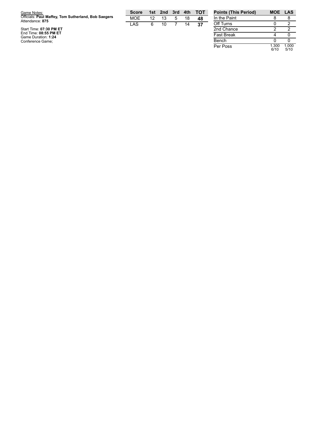| Game Notes:                                                            | <b>Score</b> | 1st | 2nd 3rd | 4th | <b>TOT</b> | <b>Points (This Period)</b> | MOE LAS |  |
|------------------------------------------------------------------------|--------------|-----|---------|-----|------------|-----------------------------|---------|--|
| Officials: Paul Maffey, Tom Sutherland, Bob Saegers<br>Attendance: 875 | <b>MOE</b>   | 12  |         | 18  | 48         | In the Paint                |         |  |
|                                                                        | LAS          |     |         | 14  | 37         | Off Turns                   |         |  |
| Start Time: 07:30 PM ET                                                |              |     |         |     |            | 2nd Chance                  |         |  |
| End Time: 08:55 PM ET<br>Game Duration: 1:24                           |              |     |         |     |            | <b>Fast Break</b>           |         |  |
| Conference Game;                                                       |              |     |         |     |            | Bench                       |         |  |

1.0 0 0 5 / 1 0

1.3 0 0 6 / 1 0

Per Poss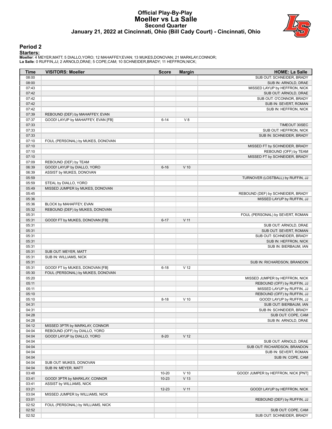#### **Official Play-By-Play Moeller vs La Salle Second Quarter January 21, 2022 at Cincinnati, Ohio (Bill Cady Court) - Cincinnati, Ohio**



#### **Period 2**

#### **Starters:**

**Moeller**: 4 MEYER,MATT; 5 DIALLO,YORO; 12 MAHAFFEY,EVAN; 13 MUKES,DONOVAN; 21 MARKLAY,CONNOR; **La Salle**: 0 RUFFIN,JJ; 2 ARNOLD,DRAE; 5 COPE,CAM; 10 SCHNEIDER,BRADY; 11 HEFFRON,NICK;

| Time           | <b>VISITORS: Moeller</b>                                | <b>Score</b> | <b>Margin</b>   | <b>HOME: La Salle</b>                             |
|----------------|---------------------------------------------------------|--------------|-----------------|---------------------------------------------------|
| 08:00          |                                                         |              |                 | SUB OUT: SCHNEIDER, BRADY                         |
| 08:00          |                                                         |              |                 | SUB IN: ARNOLD, DRAE                              |
| 07:43          |                                                         |              |                 | MISSED LAYUP by HEFFRON, NICK                     |
| 07:42          |                                                         |              |                 | SUB OUT: ARNOLD, DRAE                             |
| 07:42<br>07:42 |                                                         |              |                 | SUB OUT: O'CONNOR, BRADY<br>SUB IN: SEVERT, ROMAN |
| 07:42          |                                                         |              |                 | SUB IN: HEFFRON, NICK                             |
| 07:39          | REBOUND (DEF) by MAHAFFEY, EVAN                         |              |                 |                                                   |
| 07:37          | GOOD! LAYUP by MAHAFFEY, EVAN [FB]                      | $6 - 14$     | V8              |                                                   |
| 07:33          |                                                         |              |                 | TIMEOUT 30SEC                                     |
| 07:33          |                                                         |              |                 | SUB OUT: HEFFRON, NICK                            |
| 07:33          |                                                         |              |                 | SUB IN: SCHNEIDER, BRADY                          |
| 07:10          | FOUL (PERSONAL) by MUKES, DONOVAN                       |              |                 |                                                   |
| 07:10          |                                                         |              |                 | MISSED FT by SCHNEIDER, BRADY                     |
| 07:10          |                                                         |              |                 | REBOUND (OFF) by TEAM                             |
| 07:10          |                                                         |              |                 | MISSED FT by SCHNEIDER, BRADY                     |
| 07:09          | REBOUND (DEF) by TEAM                                   |              |                 |                                                   |
| 06:39<br>06:39 | GOOD! LAYUP by DIALLO, YORO<br>ASSIST by MUKES, DONOVAN | $6 - 16$     | $V$ 10          |                                                   |
| 05:59          |                                                         |              |                 | TURNOVER (LOSTBALL) by RUFFIN, JJ                 |
| 05:59          | STEAL by DIALLO, YORO                                   |              |                 |                                                   |
| 05:49          | MISSED JUMPER by MUKES, DONOVAN                         |              |                 |                                                   |
| 05:45          |                                                         |              |                 | REBOUND (DEF) by SCHNEIDER, BRADY                 |
| 05:36          |                                                         |              |                 | MISSED LAYUP by RUFFIN, JJ                        |
| 05:36          | BLOCK by MAHAFFEY, EVAN                                 |              |                 |                                                   |
| 05:32          | REBOUND (DEF) by MUKES, DONOVAN                         |              |                 |                                                   |
| 05:31          |                                                         |              |                 | FOUL (PERSONAL) by SEVERT, ROMAN                  |
| 05:31          | GOOD! FT by MUKES, DONOVAN [FB]                         | $6 - 17$     | $V$ 11          |                                                   |
| 05:31          |                                                         |              |                 | SUB OUT: ARNOLD, DRAE                             |
| 05:31          |                                                         |              |                 | SUB OUT: SEVERT, ROMAN                            |
| 05:31          |                                                         |              |                 | SUB OUT: SCHNEIDER, BRADY                         |
| 05:31          |                                                         |              |                 | SUB IN: HEFFRON, NICK                             |
| 05:31<br>05:31 | SUB OUT: MEYER, MATT                                    |              |                 | SUB IN: BIERBAUM, IAN                             |
| 05:31          | SUB IN: WILLIAMS, NICK                                  |              |                 |                                                   |
| 05:31          |                                                         |              |                 | SUB IN: RICHARDSON, BRANDON                       |
| 05:31          | GOOD! FT by MUKES, DONOVAN [FB]                         | $6 - 18$     | V <sub>12</sub> |                                                   |
| 05:30          | FOUL (PERSONAL) by MUKES, DONOVAN                       |              |                 |                                                   |
| 05:20          |                                                         |              |                 | MISSED JUMPER by HEFFRON, NICK                    |
| 05:11          |                                                         |              |                 | REBOUND (OFF) by RUFFIN, JJ                       |
| 05:11          |                                                         |              |                 | MISSED LAYUP by RUFFIN, JJ                        |
| 05:10          |                                                         |              |                 | REBOUND (OFF) by RUFFIN, JJ                       |
| 05:10          |                                                         | $8 - 18$     | $V$ 10          | GOOD! LAYUP by RUFFIN, JJ                         |
| 04:31          |                                                         |              |                 | SUB OUT: BIERBAUM, IAN                            |
| 04:31          |                                                         |              |                 | SUB IN: SCHNEIDER, BRADY                          |
| 04:28<br>04:28 |                                                         |              |                 | SUB OUT: COPE, CAM<br>SUB IN: ARNOLD, DRAE        |
| 04:12          | MISSED 3PTR by MARKLAY, CONNOR                          |              |                 |                                                   |
| 04:04          | REBOUND (OFF) by DIALLO, YORO                           |              |                 |                                                   |
| 04:04          | GOOD! LAYUP by DIALLO, YORO                             | $8 - 20$     | V <sub>12</sub> |                                                   |
| 04:04          |                                                         |              |                 | SUB OUT: ARNOLD, DRAE                             |
| 04:04          |                                                         |              |                 | SUB OUT: RICHARDSON, BRANDON                      |
| 04:04          |                                                         |              |                 | SUB IN: SEVERT, ROMAN                             |
| 04:04          |                                                         |              |                 | SUB IN: COPE, CAM                                 |
| 04:04          | SUB OUT: MUKES, DONOVAN                                 |              |                 |                                                   |
| 04:04          | SUB IN: MEYER, MATT                                     |              |                 |                                                   |
| 03:48          |                                                         | 10-20        | $V$ 10          | GOOD! JUMPER by HEFFRON, NICK [PNT]               |
| 03:41          | GOOD! 3PTR by MARKLAY, CONNOR                           | $10 - 23$    | V <sub>13</sub> |                                                   |
| 03:41          | ASSIST by WILLIAMS, NICK                                |              |                 |                                                   |
| 03:21          |                                                         | $12 - 23$    | $V$ 11          | GOOD! LAYUP by HEFFRON, NICK                      |
| 03:04<br>03:01 | MISSED JUMPER by WILLIAMS, NICK                         |              |                 | REBOUND (DEF) by RUFFIN, JJ                       |
| 02:52          | FOUL (PERSONAL) by WILLIAMS, NICK                       |              |                 |                                                   |
| 02:52          |                                                         |              |                 | SUB OUT: COPE, CAM                                |
| 02:52          |                                                         |              |                 | SUB OUT: SCHNEIDER, BRADY                         |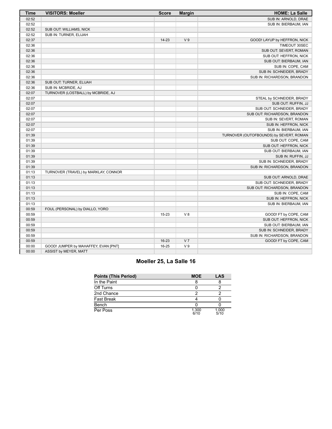| <b>Time</b> | <b>VISITORS: Moeller</b>             | <b>Score</b> | <b>Margin</b>  | <b>HOME: La Salle</b>                   |
|-------------|--------------------------------------|--------------|----------------|-----------------------------------------|
| 02:52       |                                      |              |                | SUB IN: ARNOLD, DRAE                    |
| 02:52       |                                      |              |                | SUB IN: BIERBAUM, IAN                   |
| 02:52       | SUB OUT: WILLIAMS, NICK              |              |                |                                         |
| 02:52       | SUB IN: TURNER, ELIJAH               |              |                |                                         |
| 02:37       |                                      | $14 - 23$    | V <sub>9</sub> | GOOD! LAYUP by HEFFRON, NICK            |
| 02:36       |                                      |              |                | TIMEOUT 30SEC                           |
| 02:36       |                                      |              |                | SUB OUT: SEVERT, ROMAN                  |
| 02:36       |                                      |              |                | SUB OUT: HEFFRON, NICK                  |
| 02:36       |                                      |              |                | SUB OUT: BIERBAUM, IAN                  |
| 02:36       |                                      |              |                | SUB IN: COPE, CAM                       |
| 02:36       |                                      |              |                | SUB IN: SCHNEIDER, BRADY                |
| 02:36       |                                      |              |                | SUB IN: RICHARDSON, BRANDON             |
| 02:36       | SUB OUT: TURNER, ELIJAH              |              |                |                                         |
| 02:36       | SUB IN: MCBRIDE, AJ                  |              |                |                                         |
| 02:07       | TURNOVER (LOSTBALL) by MCBRIDE, AJ   |              |                |                                         |
| 02:07       |                                      |              |                | STEAL by SCHNEIDER, BRADY               |
| 02:07       |                                      |              |                | SUB OUT: RUFFIN, JJ                     |
| 02:07       |                                      |              |                | SUB OUT: SCHNEIDER, BRADY               |
| 02:07       |                                      |              |                | SUB OUT: RICHARDSON, BRANDON            |
| 02:07       |                                      |              |                | SUB IN: SEVERT, ROMAN                   |
| 02:07       |                                      |              |                | SUB IN: HEFFRON, NICK                   |
| 02:07       |                                      |              |                | SUB IN: BIERBAUM, IAN                   |
| 01:39       |                                      |              |                | TURNOVER (OUTOFBOUNDS) by SEVERT, ROMAN |
| 01:39       |                                      |              |                | SUB OUT: COPE, CAM                      |
| 01:39       |                                      |              |                | SUB OUT: HEFFRON, NICK                  |
| 01:39       |                                      |              |                | SUB OUT: BIERBAUM, IAN                  |
| 01:39       |                                      |              |                | SUB IN: RUFFIN, JJ                      |
| 01:39       |                                      |              |                | SUB IN: SCHNEIDER, BRADY                |
| 01:39       |                                      |              |                | SUB IN: RICHARDSON, BRANDON             |
| 01:13       | TURNOVER (TRAVEL) by MARKLAY, CONNOR |              |                |                                         |
| 01:13       |                                      |              |                | SUB OUT: ARNOLD, DRAE                   |
| 01:13       |                                      |              |                | SUB OUT: SCHNEIDER, BRADY               |
| 01:13       |                                      |              |                | SUB OUT: RICHARDSON, BRANDON            |
| 01:13       |                                      |              |                | SUB IN: COPE, CAM                       |
| 01:13       |                                      |              |                | SUB IN: HEFFRON, NICK                   |
| 01:13       |                                      |              |                | SUB IN: BIERBAUM, IAN                   |
| 00:59       | FOUL (PERSONAL) by DIALLO, YORO      |              |                |                                         |
| 00:59       |                                      | $15 - 23$    | V <sub>8</sub> | GOOD! FT by COPE, CAM                   |
| 00:59       |                                      |              |                | SUB OUT: HEFFRON, NICK                  |
| 00:59       |                                      |              |                | SUB OUT: BIERBAUM, IAN                  |
| 00:59       |                                      |              |                | SUB IN: SCHNEIDER, BRADY                |
| 00:59       |                                      |              |                | SUB IN: RICHARDSON, BRANDON             |
| 00:59       |                                      | $16 - 23$    | V <sub>7</sub> | GOOD! FT by COPE, CAM                   |
| 00:00       | GOOD! JUMPER by MAHAFFEY, EVAN [PNT] | 16-25        | V <sub>9</sub> |                                         |
| 00:00       | ASSIST by MEYER, MATT                |              |                |                                         |

## **Moeller 25, La Salle 16**

| <b>Points (This Period)</b> | <b>MOE</b>    | LAS           |
|-----------------------------|---------------|---------------|
| In the Paint                |               |               |
| Off Turns                   |               |               |
| 2nd Chance                  |               |               |
| Fast Break                  |               |               |
| Bench                       |               |               |
| Per Poss                    | 1.300<br>6/10 | 1.000<br>5/10 |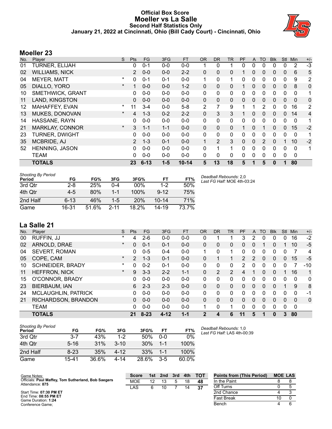## **Official Box Score Moeller vs La Salle Second Half Statistics Only January 21, 2022 at Cincinnati, Ohio (Bill Cady Court) - Cincinnati, Ohio**



## **Moeller 23**

| No. | Player                  | S.       | <b>Pts</b>     | <b>FG</b> | 3FG     | <b>FT</b> | <b>OR</b>    | <b>DR</b>    | <b>TR</b>    | <b>PF</b>    | A            | <b>TO</b>    | <b>Blk</b> | Stl          | Min      | $+/-$ |
|-----|-------------------------|----------|----------------|-----------|---------|-----------|--------------|--------------|--------------|--------------|--------------|--------------|------------|--------------|----------|-------|
| 01  | <b>TURNER, ELIJAH</b>   |          | 0              | $0 - 1$   | $0 - 0$ | $0 - 0$   |              | 0            |              | 0            | 0            | 0            | 0          | 0            | 2        | $-3$  |
| 02  | <b>WILLIAMS, NICK</b>   |          | $\mathcal{P}$  | $0 - 0$   | $0 - 0$ | $2 - 2$   | 0            | 0            | 0            |              | 0            | 0            | 0          | 0            | 6        | 5     |
| 04  | <b>MEYER, MATT</b>      | $\ast$   | 0              | $0 - 1$   | $0 - 1$ | $0 - 0$   | 1            | 0            | 1            | 0            | 0            | 0            | 0          | 0            | 9        | 2     |
| 05  | DIALLO, YORO            | $\star$  | 1              | $0 - 0$   | $0 - 0$ | $1 - 2$   | 0            | $\mathbf{0}$ | 0            |              | 0            | 0            | 0          | 0            | 8        | 0     |
| 10  | <b>SMETHWICK, GRANT</b> |          | 0              | $0 - 0$   | $0-0$   | $0-0$     | 0            | $\mathbf{0}$ | 0            | 0            | 0            | 0            | 0          | $\mathbf 0$  | 0        | 1     |
| 11  | LAND, KINGSTON          |          | 0              | $0 - 0$   | $0 - 0$ | $0 - 0$   | $\mathbf{0}$ | $\Omega$     | 0            | $\mathbf{0}$ | $\mathbf{0}$ | $\mathbf{0}$ | 0          | $\mathbf{0}$ | $\Omega$ | 0     |
| 12  | MAHAFFEY, EVAN          | $\ast$   | 11             | $3 - 4$   | $0 - 0$ | $5 - 8$   | 2            | 7            | 9            |              |              | 2            | 0          | 0            | 16       | 2     |
| 13  | MUKES, DONOVAN          | $\star$  | 4              | $1 - 3$   | $0 - 2$ | $2 - 2$   | 0            | 3            | 3            |              | 0            | 0            | $\Omega$   | $\Omega$     | 14       | 4     |
| 14  | HASSANE, RAYN           |          | 0              | $0 - 0$   | $0 - 0$ | $0 - 0$   | $\mathbf{0}$ | 0            | $\mathbf{0}$ | 0            | $\Omega$     | 0            | 0          | 0            | 0        | 1     |
| 21  | MARKLAY, CONNOR         | $^\star$ | 3              | $1 - 1$   | $1 - 1$ | $0 - 0$   | $\Omega$     | $\mathbf{0}$ | $\Omega$     | 1            | 0            |              | 0          | 0            | 15       | $-2$  |
| 23  | TURNER, DWIGHT          |          | 0              | $0 - 0$   | $0-0$   | $0-0$     | 0            | $\mathbf{0}$ | 0            | 0            | $\Omega$     | 0            | 0          | $\Omega$     | 0        | 1     |
| 35  | MCBRIDE, AJ             |          | $\overline{2}$ | $1 - 3$   | $0 - 1$ | $0 - 0$   | $\mathbf{1}$ | 2            | 3            | $\Omega$     | $\Omega$     | 2            | 0          |              | 10       | $-2$  |
| 52  | <b>HENNING, JASON</b>   |          | 0              | $0 - 0$   | $0 - 0$ | $0 - 0$   | 0            |              | 1            | 0            | 0            | 0            | 0          | 0            | $\Omega$ | 1     |
|     | <b>TEAM</b>             |          | 0              | $0 - 0$   | $0 - 0$ | $0 - 0$   | 0            | 0            | 0            | 0            | 0            | $\mathbf{0}$ | 0          | 0            | 0        |       |
|     | <b>TOTALS</b>           |          | 23             | $6 - 13$  | $1 - 5$ | $10 - 14$ | 5            | 13           | 18           | 5            |              | 5            | 0          |              | 80       |       |

| <b>Shooting By Period</b><br>Period | FG       | FG%   | 3FG      | 3FG%     | FT        | FT%   | Deadball Rebounds: 2,0<br>Last FG Half: MOE 4th-03:24 |
|-------------------------------------|----------|-------|----------|----------|-----------|-------|-------------------------------------------------------|
| 3rd Qtr                             | $2 - 8$  | 25%   | $0 - 4$  | 00%      | $1-2$     | 50%   |                                                       |
| 4th Qtr                             | $4-5$    | 80%   | 1-1      | 100%     | $9 - 12$  | 75%   |                                                       |
| 2nd Half                            | $6 - 13$ | 46%   | $1 - 5$  | 20%      | $10 - 14$ | 71%   |                                                       |
| Game                                | 16-31    | 51.6% | $2 - 11$ | $18.2\%$ | $14 - 19$ | 73.7% |                                                       |

# **La Salle 21**

| No. | Plaver                     | S        | Pts            | <b>FG</b> | 3FG      | <b>FT</b> | 0R           | DR            | TR             | PF            | A        | TO       | <b>B</b> lk | Stl          | Min      | $+/-$    |
|-----|----------------------------|----------|----------------|-----------|----------|-----------|--------------|---------------|----------------|---------------|----------|----------|-------------|--------------|----------|----------|
| 00  | RUFFIN, JJ                 | $\ast$   | 4              | $2 - 6$   | $0 - 0$  | $0 - 0$   | 0            |               | 1              | 3             | 2        | 0        | 0           | 0            | 16       | $-2$     |
| 02  | ARNOLD, DRAE               | $\star$  | 0              | $0 - 1$   | $0 - 1$  | $0 - 0$   | $\mathbf{0}$ | $\Omega$      | 0              | 0             | 0        |          | 0           |              | 10       | $-5$     |
| 04  | <b>SEVERT, ROMAN</b>       |          | 0              | $0 - 5$   | $0 - 4$  | $0 - 0$   | 1.           | 0             | 1              | 0             | 0        | 0        | 0           | 0            |          | 4        |
| 05  | COPE, CAM                  | $\star$  | $\overline{2}$ | $1 - 3$   | $0 - 1$  | $0 - 0$   | 0            |               |                | $\mathcal{P}$ | 2        | 0        | 0           | $\mathbf{0}$ | 15       | $-5$     |
| 10  | <b>SCHNEIDER, BRADY</b>    | $\star$  | 0              | $0 - 2$   | $0 - 1$  | $0 - 0$   | $\Omega$     | 0             | 0              | 2             | 0        | 0        | 0           |              |          | $-10$    |
| 11  | <b>HEFFRON, NICK</b>       | $^\star$ | 9              | $3 - 3$   | $2 - 2$  | $1 - 1$   | 0            | $\mathcal{P}$ | $\overline{2}$ | 4             |          | $\Omega$ | 0           |              | 16       | 1        |
| 15  | O'CONNOR, BRADY            |          | 0              | $0 - 0$   | $0 - 0$  | $0 - 0$   | $\Omega$     | $\Omega$      | 0              | 0             | $\Omega$ | 0        | 0           | $\Omega$     | $\Omega$ | 0        |
| 23  | <b>BIERBAUM, IAN</b>       |          | 6              | $2 - 3$   | $2 - 3$  | $0 - 0$   | $\mathbf{0}$ | $\Omega$      | 0              | 0             | $\Omega$ | 0        | 0           |              | 9        | 8        |
| 24  | <b>MCLAUGHLIN, PATRICK</b> |          | 0              | $0 - 0$   | $0 - 0$  | $0 - 0$   | $\Omega$     | $\Omega$      | 0              | 0             | $\Omega$ | 0        | 0           | $\Omega$     | $\Omega$ | -1       |
| 21  | RICHARDSON, BRANDON        |          | 0              | $0 - 0$   | $0 - 0$  | $0 - 0$   | $\mathbf{0}$ | $\Omega$      | 0              | 0             | 0        | 0        | 0           | 0            | 0        | $\Omega$ |
|     | <b>TEAM</b>                |          | 0              | $0 - 0$   | $0 - 0$  | $0 - 0$   |              | 0             | 1              | 0             | 0        | 0        | 0           | 0            | 0        |          |
|     | <b>TOTALS</b>              |          | 21             | $8 - 23$  | $4 - 12$ | $1 - 1$   | $\mathbf{2}$ | 4             | 6              | 11            | 5        |          | 0           | 3            | 80       |          |

| Shooting By Period<br>Period | FG       | FG%   | 3FG      | 3FG%  | FT      | FT%   |
|------------------------------|----------|-------|----------|-------|---------|-------|
| 3rd Qtr                      | 3-7      | 43%   | $1-2$    | 50%   | $0 - 0$ | 0%    |
| 4th Qtr                      | $5 - 16$ | 31%   | $3 - 10$ | 30%   | $1 - 1$ | 100%  |
| 2nd Half                     | $8 - 23$ | 35%   | 4-12     | 33%   | $1 - 1$ | 100%  |
| Game                         | 15-41    | 36.6% | 4-14     | 28.6% | $3-5$   | 60.0% |

*Deadball Rebounds:* 1,0 *Last FG Half:* LAS 4th-00:39

| Game Notes:                                                            | <b>Score</b> | 1st | 2nd | 3rd | 4th | <b>TOT</b> | <b>Points from (This Period)</b> | <b>MOE LAS</b> |  |
|------------------------------------------------------------------------|--------------|-----|-----|-----|-----|------------|----------------------------------|----------------|--|
| Officials: Paul Maffey, Tom Sutherland, Bob Saegers<br>Attendance: 875 | MOE          | 12  |     |     | 18  | 48         | In the Paint                     |                |  |
|                                                                        | LAS          |     |     |     |     | -37        | Off Turns                        |                |  |
| Start Time: 07:30 PM ET                                                |              |     |     |     |     |            | 2nd Chance                       |                |  |
| End Time: 08:55 PM ET<br>Game Duration: 1:24                           |              |     |     |     |     |            | <b>Fast Break</b>                |                |  |
| Conference Game:                                                       |              |     |     |     |     |            | Bench                            |                |  |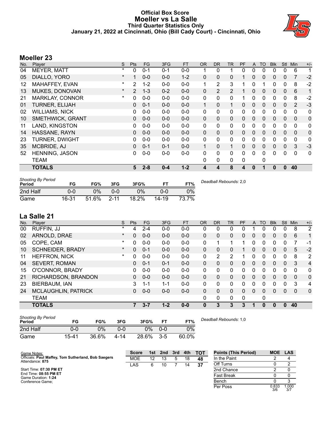#### **Official Box Score Moeller vs La Salle Third Quarter Statistics Only January 21, 2022 at Cincinnati, Ohio (Bill Cady Court) - Cincinnati, Ohio**



# **Moeller 23**

| No. | Player                  | S       | <b>Pts</b>     | <b>FG</b> | 3FG     | <b>FT</b> | <b>OR</b>    | <b>DR</b>      | <b>TR</b>      | PF | A            | TO       | <b>B</b> lk | Stl          | Min            | $+/-$       |
|-----|-------------------------|---------|----------------|-----------|---------|-----------|--------------|----------------|----------------|----|--------------|----------|-------------|--------------|----------------|-------------|
| 04  | <b>MEYER, MATT</b>      | $\ast$  | 0              | $0 - 1$   | $0 - 1$ | $0 - 0$   |              | 0              | 1              | 0  | 0            | 0        | 0           | 0            | 6              | 1           |
| 05  | DIALLO, YORO            | $\ast$  |                | $0 - 0$   | $0 - 0$ | $1 - 2$   | $\Omega$     | 0              | 0              |    | 0            | $\Omega$ | $\Omega$    | $\Omega$     | $\overline{7}$ | $-2$        |
| 12  | MAHAFFEY, EVAN          | *       | 2              | $1 - 2$   | $0 - 0$ | $0 - 0$   | 1            | $\overline{2}$ | 3              |    | 0            |          | 0           | 0            | 8              | $-2$        |
| 13  | MUKES, DONOVAN          | $\star$ | $\overline{2}$ | $1 - 3$   | $0 - 2$ | $0 - 0$   | $\Omega$     | $\overline{2}$ | $\overline{2}$ | 1  | $\mathbf{0}$ | $\Omega$ | $\Omega$    | $\mathbf{0}$ | 6              | 1           |
| 21  | <b>MARKLAY, CONNOR</b>  | $\ast$  | 0              | $0-0$     | $0 - 0$ | $0-0$     | 0            | 0              | 0              | 1  | 0            | $\Omega$ | 0           | $\mathbf{0}$ | 8              | $-2$        |
| 01  | <b>TURNER, ELIJAH</b>   |         | 0              | $0 - 1$   | $0 - 0$ | $0 - 0$   | $\mathbf{1}$ | 0              | 1              | 0  | $\mathbf{0}$ | 0        | 0           | $\mathbf{0}$ | $\overline{2}$ | $-3$        |
| 02  | <b>WILLIAMS, NICK</b>   |         | 0              | $0 - 0$   | $0 - 0$ | $0 - 0$   | $\mathbf{0}$ | 0              | $\mathbf{0}$   | 0  | 0            | $\Omega$ | 0           | $\Omega$     | $\mathbf{0}$   | 0           |
| 10  | <b>SMETHWICK, GRANT</b> |         | 0              | $0 - 0$   | $0 - 0$ | $0 - 0$   | $\Omega$     | 0              | 0              | 0  | 0            | $\Omega$ | 0           | $\mathbf{0}$ | $\Omega$       | $\mathbf 0$ |
| 11  | LAND, KINGSTON          |         | 0              | $0 - 0$   | $0 - 0$ | $0-0$     | 0            | 0              | 0              | 0  | 0            | 0        | 0           | 0            | 0              | 0           |
| 14  | HASSANE, RAYN           |         | $\Omega$       | $0 - 0$   | $0 - 0$ | $0 - 0$   | $\Omega$     | $\Omega$       | $\Omega$       | 0  | $\mathbf{0}$ | $\Omega$ | $\Omega$    | $\Omega$     | $\mathbf{0}$   | $\mathbf 0$ |
| 23  | <b>TURNER, DWIGHT</b>   |         | 0              | $0 - 0$   | $0 - 0$ | $0 - 0$   | 0            | 0              | 0              | 0  | 0            | $\Omega$ | 0           | $\Omega$     | 0              | 0           |
| 35  | MCBRIDE, AJ             |         | 0              | $0 - 1$   | $0 - 1$ | $0 - 0$   | $\mathbf{1}$ | $\Omega$       | 1              | 0  | $\mathbf{0}$ | $\Omega$ | $\Omega$    | $\Omega$     | 3              | $-3$        |
| 52  | <b>HENNING, JASON</b>   |         | 0              | $0-0$     | $0 - 0$ | $0 - 0$   | 0            | 0              | 0              | 0  | 0            | $\Omega$ | 0           | 0            | 0              | 0           |
|     | <b>TEAM</b>             |         |                |           |         |           | 0            | 0              | 0              | 0  |              | 0        |             |              |                |             |
|     | <b>TOTALS</b>           |         | 5              | $2 - 8$   | $0 - 4$ | $1 - 2$   | 4            | 4              | 8              | 4  | 0            |          | 0           | 0            | 40             |             |

| <b>Shooting By Period</b><br>Period | FG        | FG%   | 3FG      | 3FG%  |       | FT%   | Deadball Rebounds: 2,0 |
|-------------------------------------|-----------|-------|----------|-------|-------|-------|------------------------|
| 2nd Half                            | 0-0       | 0%    | 0-0      | $0\%$ | $0-0$ | 7%    |                        |
| Game                                | $16 - 31$ | 51.6% | $2 - 11$ | 18.2% | 14-19 | 73.7% |                        |

# **La Salle 21**

| No. | Player                     | S       | Pts      | FG      | 3FG     | <b>FT</b> | <b>OR</b> | <b>DR</b> | <b>TR</b> | PF | A        | TO       | <b>Blk</b> | Stl          | Min      | $+/-$          |
|-----|----------------------------|---------|----------|---------|---------|-----------|-----------|-----------|-----------|----|----------|----------|------------|--------------|----------|----------------|
| 00  | RUFFIN, JJ                 | *       | 4        | $2 - 4$ | $0 - 0$ | $0-0$     | 0         | 0         | 0         | 0  |          | 0        | 0          | 0            | 8        | 2              |
| 02  | ARNOLD, DRAE               | $\ast$  | $\Omega$ | $0 - 0$ | $0 - 0$ | $0-0$     | 0         | 0         | 0         | 0  | 0        | 0        | 0          | 0            | 6        | 1              |
| 05  | COPE, CAM                  | $\ast$  | $\Omega$ | $0 - 0$ | $0 - 0$ | $0 - 0$   | 0         | 1         | 1         |    | 0        | 0        | 0          | 0            |          | $-1$           |
| 10  | <b>SCHNEIDER, BRADY</b>    | $\star$ | $\Omega$ | $0 - 1$ | $0 - 0$ | $0 - 0$   | 0         | 0         | 0         |    | 0        | 0        | 0          | $\mathbf{0}$ | 5        | $-2$           |
| 11  | HEFFRON, NICK              | $\ast$  | $\Omega$ | $0 - 0$ | $0 - 0$ | $0 - 0$   | 0         | 2         | 2         |    | 0        | 0        | 0          | 0            | 8        | 2              |
| 04  | <b>SEVERT, ROMAN</b>       |         | 0        | $0 - 1$ | $0 - 1$ | $0 - 0$   | 0         | 0         | 0         | 0  | $\Omega$ | $\Omega$ | 0          | $\Omega$     | 3        | $\overline{4}$ |
| 15  | O'CONNOR, BRADY            |         | 0        | $0 - 0$ | $0 - 0$ | $0 - 0$   | 0         | 0         | 0         | 0  | 0        | 0        | 0          | 0            | 0        | $\mathbf{0}$   |
| 21  | RICHARDSON, BRANDON        |         | 0        | $0 - 0$ | $0 - 0$ | $0 - 0$   | 0         | 0         | 0         | 0  | $\Omega$ | 0        | 0          | $\Omega$     | 0        | $\mathbf{0}$   |
| 23  | BIERBAUM, IAN              |         | 3        | $1 - 1$ | $1 - 1$ | $0-0$     | $\Omega$  | 0         | 0         | 0  | 0        | 0        | 0          | $\Omega$     | 3        | 4              |
| 24  | <b>MCLAUGHLIN, PATRICK</b> |         | 0        | $0 - 0$ | $0 - 0$ | $0 - 0$   | 0         | $\Omega$  | 0         | 0  | $\Omega$ | 0        | 0          | $\Omega$     | $\Omega$ | $\mathbf{0}$   |
|     | <b>TEAM</b>                |         |          |         |         |           | $\Omega$  | 0         | 0         | 0  |          | 0        |            |              |          |                |
|     | <b>TOTALS</b>              |         |          | $3 - 7$ | $1 - 2$ | $0 - 0$   | 0         | 3         | 3         | 3  | 1        | $\bf{0}$ | 0          | $\bf{0}$     | 40       |                |
|     |                            |         |          |         |         |           |           |           |           |    |          |          |            |              |          |                |

| <b>Shooting By Period</b><br>Period | FG        | FG%   | 3FG  | 3FG%  | <b>FT</b> | FT%   | Deadball Rebounds: 1,0 |
|-------------------------------------|-----------|-------|------|-------|-----------|-------|------------------------|
| 2nd Half                            | 0-0       | 0%    | ი-ი  | 0%    | $0 - 0$   | 0%    |                        |
| Game                                | $15 - 41$ | 36.6% | 4-14 | 28.6% | $3-5$     | 60.0% |                        |

| <b>Points (This Period)</b> | MOE LAS      |              |
|-----------------------------|--------------|--------------|
| In the Paint                | 2            |              |
| Off Turns                   |              | 2            |
| 2nd Chance                  | 2            |              |
| <b>Fast Break</b>           |              |              |
| Bench                       |              | 2            |
| Per Poss                    | 0.833<br>3/6 | 1.000<br>3/7 |

| Game Notes:                                         | <b>Score</b> | 1st. | 2nd | 3rd | 4th | <b>TOT</b> | <b>Points (This Period)</b> | <b>MOE</b>    | <b>LAS</b> |
|-----------------------------------------------------|--------------|------|-----|-----|-----|------------|-----------------------------|---------------|------------|
| Officials: Paul Maffey, Tom Sutherland, Bob Saegers | <b>MOE</b>   | 12   | 13  |     | 18  | 48         | In the Paint                |               |            |
| Attendance: 875                                     | LAS          |      | 10  |     | 14  | 37         | Off Turns                   |               |            |
| Start Time: 07:30 PM ET                             |              |      |     |     |     |            | 2nd Chance                  |               |            |
| End Time: 08:55 PM ET<br>Game Duration: 1:24        |              |      |     |     |     |            | <b>Fast Break</b>           |               |            |
| Conference Game:                                    |              |      |     |     |     |            | Bench                       |               |            |
|                                                     |              |      |     |     |     |            | Per Poss                    | 0.833<br>$ -$ | .000       |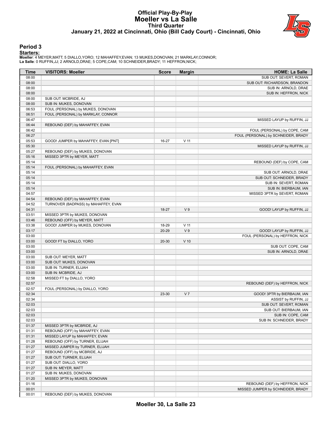## **Official Play-By-Play Moeller vs La Salle Third Quarter January 21, 2022 at Cincinnati, Ohio (Bill Cady Court) - Cincinnati, Ohio**



#### **Period 3**

#### **Starters:**

**Moeller**: 4 MEYER,MATT; 5 DIALLO,YORO; 12 MAHAFFEY,EVAN; 13 MUKES,DONOVAN; 21 MARKLAY,CONNOR; **La Salle**: 0 RUFFIN,JJ; 2 ARNOLD,DRAE; 5 COPE,CAM; 10 SCHNEIDER,BRADY; 11 HEFFRON,NICK;

| <b>Time</b>    | <b>VISITORS: Moeller</b>             | <b>Score</b> | <b>Margin</b>  | <b>HOME: La Salle</b>               |
|----------------|--------------------------------------|--------------|----------------|-------------------------------------|
| 08:00          |                                      |              |                | SUB OUT: SEVERT, ROMAN              |
| 08:00          |                                      |              |                | SUB OUT: RICHARDSON, BRANDON        |
| 08:00          |                                      |              |                | SUB IN: ARNOLD, DRAE                |
| 08:00          |                                      |              |                | SUB IN: HEFFRON, NICK               |
| 08:00          | SUB OUT: MCBRIDE, AJ                 |              |                |                                     |
| 08:00          | SUB IN: MUKES, DONOVAN               |              |                |                                     |
| 06:53          | FOUL (PERSONAL) by MUKES, DONOVAN    |              |                |                                     |
| 06:51          | FOUL (PERSONAL) by MARKLAY, CONNOR   |              |                |                                     |
| 06:47          |                                      |              |                | MISSED LAYUP by RUFFIN, JJ          |
| 06:44          | REBOUND (DEF) by MAHAFFEY, EVAN      |              |                |                                     |
| 06:42          |                                      |              |                | FOUL (PERSONAL) by COPE, CAM        |
| 06:27          |                                      |              |                | FOUL (PERSONAL) by SCHNEIDER, BRADY |
| 05:53          | GOOD! JUMPER by MAHAFFEY, EVAN [PNT] | 16-27        | $V$ 11         |                                     |
| 05:30          |                                      |              |                | MISSED LAYUP by RUFFIN, JJ          |
| 05:27          | REBOUND (DEF) by MUKES, DONOVAN      |              |                |                                     |
| 05:16          | MISSED 3PTR by MEYER, MATT           |              |                |                                     |
| 05:14          |                                      |              |                | REBOUND (DEF) by COPE, CAM          |
| 05:14          | FOUL (PERSONAL) by MAHAFFEY, EVAN    |              |                |                                     |
| 05:14          |                                      |              |                | SUB OUT: ARNOLD, DRAE               |
| 05:14          |                                      |              |                | SUB OUT: SCHNEIDER, BRADY           |
| 05:14          |                                      |              |                | SUB IN: SEVERT, ROMAN               |
| 05:14          |                                      |              |                | SUB IN: BIERBAUM, IAN               |
| 04:57          |                                      |              |                | MISSED 3PTR by SEVERT, ROMAN        |
| 04:54          | REBOUND (DEF) by MAHAFFEY, EVAN      |              |                |                                     |
| 04:52          | TURNOVER (BADPASS) by MAHAFFEY, EVAN |              |                |                                     |
| 04:31          |                                      | 18-27        | V <sub>9</sub> | GOOD! LAYUP by RUFFIN, JJ           |
| 03:51          | MISSED 3PTR by MUKES, DONOVAN        |              |                |                                     |
| 03:46          | REBOUND (OFF) by MEYER, MATT         |              |                |                                     |
| 03:38          | GOOD! JUMPER by MUKES, DONOVAN       | 18-29        | $V$ 11         |                                     |
| 03:17          |                                      | $20 - 29$    | V <sub>9</sub> | GOOD! LAYUP by RUFFIN, JJ           |
| 03:00<br>03:00 | GOOD! FT by DIALLO, YORO             | $20 - 30$    | $V$ 10         | FOUL (PERSONAL) by HEFFRON, NICK    |
| 03:00          |                                      |              |                | SUB OUT: COPE, CAM                  |
| 03:00          |                                      |              |                | SUB IN: ARNOLD, DRAE                |
| 03:00          | SUB OUT: MEYER, MATT                 |              |                |                                     |
| 03:00          | SUB OUT: MUKES, DONOVAN              |              |                |                                     |
| 03:00          | SUB IN: TURNER, ELIJAH               |              |                |                                     |
| 03:00          | SUB IN: MCBRIDE, AJ                  |              |                |                                     |
| 02:58          | MISSED FT by DIALLO, YORO            |              |                |                                     |
| 02:57          |                                      |              |                | REBOUND (DEF) by HEFFRON, NICK      |
| 02:57          | FOUL (PERSONAL) by DIALLO, YORO      |              |                |                                     |
| 02:34          |                                      | 23-30        | V <sub>7</sub> | GOOD! 3PTR by BIERBAUM, IAN         |
| 02:34          |                                      |              |                | ASSIST by RUFFIN, JJ                |
| 02:03          |                                      |              |                | SUB OUT: SEVERT, ROMAN              |
| 02:03          |                                      |              |                | SUB OUT: BIERBAUM, IAN              |
| 02:03          |                                      |              |                | SUB IN: COPE, CAM                   |
| 02:03          |                                      |              |                | SUB IN: SCHNEIDER, BRADY            |
| 01:37          | MISSED 3PTR by MCBRIDE, AJ           |              |                |                                     |
| 01:31          | REBOUND (OFF) by MAHAFFEY, EVAN      |              |                |                                     |
| 01:31          | MISSED LAYUP by MAHAFFEY, EVAN       |              |                |                                     |
| 01:28          | REBOUND (OFF) by TURNER, ELIJAH      |              |                |                                     |
| 01:27          | MISSED JUMPER by TURNER, ELIJAH      |              |                |                                     |
| 01:27          | REBOUND (OFF) by MCBRIDE, AJ         |              |                |                                     |
| 01:27          | SUB OUT: TURNER, ELIJAH              |              |                |                                     |
| 01:27          | SUB OUT: DIALLO, YORO                |              |                |                                     |
| 01:27          | SUB IN: MEYER, MATT                  |              |                |                                     |
| 01:27          | SUB IN: MUKES, DONOVAN               |              |                |                                     |
| 01:20          | MISSED 3PTR by MUKES, DONOVAN        |              |                |                                     |
| 01:16          |                                      |              |                | REBOUND (DEF) by HEFFRON, NICK      |
| 00:01          |                                      |              |                | MISSED JUMPER by SCHNEIDER, BRADY   |
| 00:01          | REBOUND (DEF) by MUKES, DONOVAN      |              |                |                                     |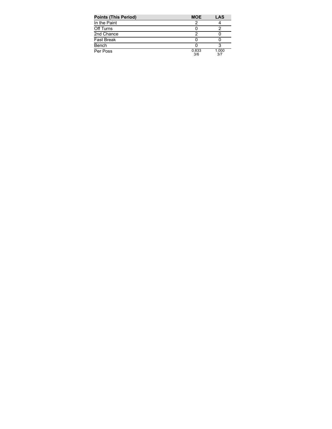| <b>Points (This Period)</b> | <b>MOE</b>   | LAS          |
|-----------------------------|--------------|--------------|
| In the Paint                |              |              |
| Off Turns                   |              |              |
| 2nd Chance                  |              |              |
| <b>Fast Break</b>           |              |              |
| Bench                       |              |              |
| Per Poss                    | 0.833<br>3/6 | 1.000<br>3/7 |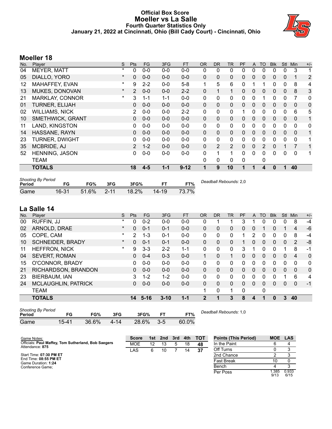## **Official Box Score Moeller vs La Salle Fourth Quarter Statistics Only January 21, 2022 at Cincinnati, Ohio (Bill Cady Court) - Cincinnati, Ohio**



## **Moeller 18**

| $+/-$<br>Min                                                  |
|---------------------------------------------------------------|
| 3<br>1                                                        |
| $\overline{2}$<br>$\mathbf 1$                                 |
| 8<br>4                                                        |
| 3<br>8                                                        |
| 7<br>0                                                        |
| 0<br>$\mathbf 0$                                              |
| 5<br>6                                                        |
| $\Omega$<br>1                                                 |
| 0<br>0                                                        |
| 1<br>$\mathbf 0$                                              |
| $\Omega$<br>1                                                 |
| $\overline{7}$<br>1                                           |
| 0<br>1                                                        |
|                                                               |
| 40                                                            |
| 0<br>$\Omega$<br>0<br>$\mathbf{0}$<br>$\Omega$<br>$\mathbf 0$ |

| <b>Shooting By Period</b><br>Period | FG    | FG%      | 3FG      | 3FG%     |           | FT%   | Deadball Rebounds: 2,0 |
|-------------------------------------|-------|----------|----------|----------|-----------|-------|------------------------|
| Game                                | 16-31 | $51.6\%$ | $2 - 11$ | $18.2\%$ | $14 - 19$ | 73.7% |                        |

# **La Salle 14**

| No. | Plaver                     | S        | Pts      | FG.      | 3FG      | <b>FT</b> | <b>OR</b>    | <b>DR</b> | TR       | <b>PF</b> | A        | TO       | <b>Blk</b> | Stl      | Min      | $+/-$        |
|-----|----------------------------|----------|----------|----------|----------|-----------|--------------|-----------|----------|-----------|----------|----------|------------|----------|----------|--------------|
| 00  | RUFFIN, JJ                 | $\star$  | 0        | $0 - 2$  | $0 - 0$  | $0-0$     | 0            |           | 1        | 3         |          | 0        | 0          | 0        | 8        | $-4$         |
| 02  | ARNOLD, DRAE               | $^\star$ | $\Omega$ | $0 - 1$  | $0 - 1$  | $0 - 0$   | 0            | 0         | 0        | 0         | 0        |          | 0          |          | 4        | $-6$         |
| 05  | COPE, CAM                  | $\ast$   | 2        | $1 - 3$  | $0 - 1$  | $0-0$     | 0            | 0         | 0        | 1         | 2        | 0        | 0          | 0        | 8        | $-4$         |
| 10  | <b>SCHNEIDER, BRADY</b>    | $\star$  | $\Omega$ | $0 - 1$  | $0 - 1$  | $0 - 0$   | 0            | 0         | $\Omega$ |           | 0        | 0        | 0          | 0        | 2        | -8           |
| 11  | HEFFRON, NICK              | $\ast$   | 9        | $3 - 3$  | $2 - 2$  | $1 - 1$   | 0            | 0         | 0        | 3         |          | 0        | 0          |          | 8        | -1           |
| 04  | <b>SEVERT, ROMAN</b>       |          | $\Omega$ | $0 - 4$  | $0 - 3$  | $0 - 0$   |              | $\Omega$  | 1        | 0         | 0        | 0        | 0          | 0        | 4        | $\mathbf{0}$ |
| 15  | O'CONNOR, BRADY            |          | 0        | $0 - 0$  | $0 - 0$  | $0 - 0$   | $\Omega$     | 0         | 0        | 0         | 0        | 0        | 0          | 0        | 0        | $\mathbf{0}$ |
| 21  | RICHARDSON, BRANDON        |          | $\Omega$ | $0 - 0$  | $0 - 0$  | $0 - 0$   | 0            | 0         | $\Omega$ | 0         | $\Omega$ | $\Omega$ | $\Omega$   | $\Omega$ | $\Omega$ | $\Omega$     |
| 23  | BIERBAUM, IAN              |          | 3        | $1 - 2$  | $1 - 2$  | $0-0$     | $\Omega$     | 0         | 0        | 0         | 0        | 0        | 0          |          | 6        | 4            |
| 24  | <b>MCLAUGHLIN, PATRICK</b> |          | $\Omega$ | $0 - 0$  | $0 - 0$  | $0 - 0$   | 0            | $\Omega$  | $\Omega$ | $\Omega$  | 0        | 0        | 0          | 0        | $\Omega$ | $-1$         |
|     | <b>TEAM</b>                |          |          |          |          |           |              | 0         | 1        | $\Omega$  |          | 0        |            |          |          |              |
|     | <b>TOTALS</b>              |          | 14       | $5 - 16$ | $3 - 10$ | $1 - 1$   | $\mathbf{2}$ |           | 3        | 8         | 4        |          | 0          | 3        | 40       |              |
|     |                            |          |          |          |          |           |              |           |          |           |          |          |            |          |          |              |

| <b>Shooting By Period</b><br>Period | FG    | FG%   | 3FG      | 3FG%  |       | FT%   | Deadball Rebounds: 1,0 |
|-------------------------------------|-------|-------|----------|-------|-------|-------|------------------------|
| Game                                | 15-41 | 36.6% | $4 - 14$ | 28.6% | $3-5$ | 60.0% |                        |

| Game Notes:                                         | <b>Score</b> |    | 1st 2nd | 3rd | 4th | <b>- тот</b> | <b>Points (This Period)</b> | MOE LAS      |               |
|-----------------------------------------------------|--------------|----|---------|-----|-----|--------------|-----------------------------|--------------|---------------|
| Officials: Paul Maffey, Tom Sutherland, Bob Saegers | <b>MOE</b>   | 12 | 13      | 5   | 18  | 48           | In the Paint                |              |               |
| Attendance: 875<br>LAS                              |              | 6. | 10      |     | 14  | 37           | Off Turns                   |              |               |
| Start Time: 07:30 PM ET                             |              |    |         |     |     |              | 2nd Chance                  |              |               |
| End Time: 08:55 PM ET<br>Game Duration: 1:24        |              |    |         |     |     |              | <b>Fast Break</b>           |              |               |
| Conference Game:                                    |              |    |         |     |     |              | Bench                       |              |               |
|                                                     |              |    |         |     |     |              | Per Poss                    | .385<br>9/13 | 0.933<br>6/15 |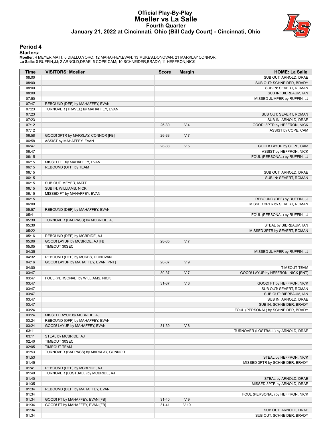#### **Official Play-By-Play Moeller vs La Salle Fourth Quarter January 21, 2022 at Cincinnati, Ohio (Bill Cady Court) - Cincinnati, Ohio**



#### **Period 4**

#### **Starters:**

**Moeller**: 4 MEYER,MATT; 5 DIALLO,YORO; 12 MAHAFFEY,EVAN; 13 MUKES,DONOVAN; 21 MARKLAY,CONNOR; **La Salle**: 0 RUFFIN,JJ; 2 ARNOLD,DRAE; 5 COPE,CAM; 10 SCHNEIDER,BRADY; 11 HEFFRON,NICK;

| Time           | <b>VISITORS: Moeller</b>              | <b>Score</b> | <b>Margin</b>  | <b>HOME: La Salle</b>                                     |
|----------------|---------------------------------------|--------------|----------------|-----------------------------------------------------------|
| 08:00          |                                       |              |                | SUB OUT: ARNOLD, DRAE                                     |
| 08:00          |                                       |              |                | SUB OUT: SCHNEIDER, BRADY                                 |
| 08:00          |                                       |              |                | SUB IN: SEVERT, ROMAN                                     |
| 08:00          |                                       |              |                | SUB IN: BIERBAUM, IAN                                     |
| 07:50          |                                       |              |                | MISSED JUMPER by RUFFIN, JJ                               |
| 07:47          | REBOUND (DEF) by MAHAFFEY, EVAN       |              |                |                                                           |
| 07:23          | TURNOVER (TRAVEL) by MAHAFFEY, EVAN   |              |                |                                                           |
| 07:23          |                                       |              |                | SUB OUT: SEVERT, ROMAN                                    |
| 07:23          |                                       |              |                | SUB IN: ARNOLD, DRAE                                      |
| 07:12          |                                       | 26-30        | V <sub>4</sub> | GOOD! 3PTR by HEFFRON, NICK                               |
| 07:12          |                                       |              |                | ASSIST by COPE, CAM                                       |
| 06:58          | GOOD! 3PTR by MARKLAY, CONNOR [FB]    | 26-33        | V <sub>7</sub> |                                                           |
| 06:58          | ASSIST by MAHAFFEY, EVAN              |              |                |                                                           |
| 06:47          |                                       | 28-33        | V <sub>5</sub> | GOOD! LAYUP by COPE, CAM                                  |
| 06:47          |                                       |              |                | ASSIST by HEFFRON, NICK                                   |
| 06:15          |                                       |              |                | FOUL (PERSONAL) by RUFFIN, JJ                             |
| 06:15          | MISSED FT by MAHAFFEY, EVAN           |              |                |                                                           |
| 06:15          | REBOUND (OFF) by TEAM                 |              |                |                                                           |
| 06:15          |                                       |              |                | SUB OUT: ARNOLD, DRAE                                     |
| 06:15          |                                       |              |                | SUB IN: SEVERT, ROMAN                                     |
| 06:15          | SUB OUT: MEYER, MATT                  |              |                |                                                           |
| 06:15          | SUB IN: WILLIAMS, NICK                |              |                |                                                           |
| 06:15          | MISSED FT by MAHAFFEY, EVAN           |              |                |                                                           |
| 06:15          |                                       |              |                | REBOUND (DEF) by RUFFIN, JJ                               |
| 06:00          |                                       |              |                | MISSED 3PTR by SEVERT, ROMAN                              |
| 05:57          | REBOUND (DEF) by MAHAFFEY, EVAN       |              |                |                                                           |
| 05:41          |                                       |              |                | FOUL (PERSONAL) by RUFFIN, JJ                             |
| 05:30          | TURNOVER (BADPASS) by MCBRIDE, AJ     |              |                |                                                           |
| 05:30          |                                       |              |                | STEAL by BIERBAUM, IAN                                    |
| 05:22          |                                       |              |                | MISSED 3PTR by SEVERT, ROMAN                              |
| 05:16          | REBOUND (DEF) by MCBRIDE, AJ          |              |                |                                                           |
| 05:06          | GOOD! LAYUP by MCBRIDE, AJ [FB]       | 28-35        | V <sub>7</sub> |                                                           |
| 05:05          | TIMEOUT 30SEC                         |              |                |                                                           |
| 04:35          |                                       |              |                | MISSED JUMPER by RUFFIN, JJ                               |
| 04:32          | REBOUND (DEF) by MUKES, DONOVAN       |              |                |                                                           |
| 04:16          | GOOD! LAYUP by MAHAFFEY, EVAN [PNT]   | 28-37        | V <sub>9</sub> |                                                           |
| 04:00<br>03:47 |                                       | 30-37        | V <sub>7</sub> | <b>TIMEOUT TEAM</b><br>GOOD! LAYUP by HEFFRON, NICK [PNT] |
| 03:47          | FOUL (PERSONAL) by WILLIAMS, NICK     |              |                |                                                           |
| 03:47          |                                       | $31 - 37$    | $V_6$          | GOOD! FT by HEFFRON, NICK                                 |
| 03:47          |                                       |              |                | SUB OUT: SEVERT, ROMAN                                    |
| 03:47          |                                       |              |                | SUB OUT: BIERBAUM, IAN                                    |
| 03:47          |                                       |              |                | SUB IN: ARNOLD, DRAE                                      |
| 03:47          |                                       |              |                | SUB IN: SCHNEIDER, BRADY                                  |
| 03:24          |                                       |              |                | FOUL (PERSONAL) by SCHNEIDER, BRADY                       |
| 03:24          | MISSED LAYUP by MCBRIDE, AJ           |              |                |                                                           |
| 03:24          | REBOUND (OFF) by MAHAFFEY, EVAN       |              |                |                                                           |
| 03:24          | GOOD! LAYUP by MAHAFFEY, EVAN         | 31-39        | V8             |                                                           |
| 03:11          |                                       |              |                | TURNOVER (LOSTBALL) by ARNOLD, DRAE                       |
| 03:11          | STEAL by MCBRIDE, AJ                  |              |                |                                                           |
| 02:40          | TIMEOUT 30SEC                         |              |                |                                                           |
| 02:05          | TIMEOUT TEAM                          |              |                |                                                           |
| 01:53          | TURNOVER (BADPASS) by MARKLAY, CONNOR |              |                |                                                           |
| 01:53          |                                       |              |                | STEAL by HEFFRON, NICK                                    |
| 01:45          |                                       |              |                | MISSED 3PTR by SCHNEIDER, BRADY                           |
| 01:41          | REBOUND (DEF) by MCBRIDE, AJ          |              |                |                                                           |
| 01:40          | TURNOVER (LOSTBALL) by MCBRIDE, AJ    |              |                |                                                           |
| 01:40          |                                       |              |                | STEAL by ARNOLD, DRAE                                     |
| 01:35          |                                       |              |                | MISSED 3PTR by ARNOLD, DRAE                               |
| 01:34          | REBOUND (DEF) by MAHAFFEY, EVAN       |              |                |                                                           |
| 01:34          |                                       |              |                | FOUL (PERSONAL) by HEFFRON, NICK                          |
| 01:34          | GOOD! FT by MAHAFFEY, EVAN [FB]       | $31 - 40$    | V <sub>9</sub> |                                                           |
| 01:34          | GOOD! FT by MAHAFFEY, EVAN [FB]       | $31 - 41$    | $V$ 10         |                                                           |
| 01:34          |                                       |              |                | SUB OUT: ARNOLD, DRAE                                     |
| 01:34          |                                       |              |                | SUB OUT: SCHNEIDER, BRADY                                 |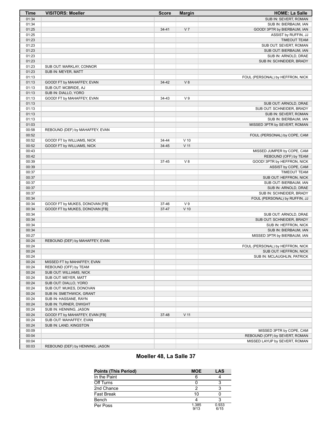| <b>Time</b>    | <b>VISITORS: Moeller</b>        | <b>Score</b> | <b>Margin</b>   | <b>HOME: La Salle</b>                                           |
|----------------|---------------------------------|--------------|-----------------|-----------------------------------------------------------------|
| 01:34          |                                 |              |                 | SUB IN: SEVERT, ROMAN                                           |
| 01:34          |                                 |              |                 | SUB IN: BIERBAUM, IAN                                           |
| 01:25          |                                 | $34 - 41$    | V <sub>7</sub>  | GOOD! 3PTR by BIERBAUM, IAN                                     |
| 01:25          |                                 |              |                 | ASSIST by RUFFIN, JJ                                            |
| 01:23          |                                 |              |                 | <b>TIMEOUT TEAM</b>                                             |
| 01:23          |                                 |              |                 | SUB OUT: SEVERT, ROMAN                                          |
| 01:23          |                                 |              |                 | SUB OUT: BIERBAUM, IAN                                          |
| 01:23          |                                 |              |                 | SUB IN: ARNOLD, DRAE                                            |
| 01:23          |                                 |              |                 | SUB IN: SCHNEIDER, BRADY                                        |
| 01:23          | SUB OUT: MARKLAY, CONNOR        |              |                 |                                                                 |
| 01:23          | SUB IN: MEYER, MATT             |              |                 |                                                                 |
| 01:13          |                                 |              |                 | FOUL (PERSONAL) by HEFFRON, NICK                                |
| 01:13          | GOOD! FT by MAHAFFEY, EVAN      | 34-42        | V8              |                                                                 |
| 01:13          | SUB OUT: MCBRIDE, AJ            |              |                 |                                                                 |
| 01:13          | SUB IN: DIALLO, YORO            |              |                 |                                                                 |
| 01:13          | GOOD! FT by MAHAFFEY, EVAN      | 34-43        | V <sub>9</sub>  |                                                                 |
| 01:13          |                                 |              |                 | SUB OUT: ARNOLD, DRAE                                           |
| 01:13          |                                 |              |                 | SUB OUT: SCHNEIDER, BRADY                                       |
| 01:13          |                                 |              |                 | SUB IN: SEVERT, ROMAN                                           |
| 01:13          |                                 |              |                 | SUB IN: BIERBAUM, IAN                                           |
| 01:03          | REBOUND (DEF) by MAHAFFEY, EVAN |              |                 | MISSED 3PTR by SEVERT, ROMAN                                    |
| 00:58<br>00:52 |                                 |              |                 |                                                                 |
| 00:52          |                                 | 34-44        | $V$ 10          | FOUL (PERSONAL) by COPE, CAM                                    |
| 00:52          | GOOD! FT by WILLIAMS, NICK      | 34-45        | $V$ 11          |                                                                 |
| 00:43          | GOOD! FT by WILLIAMS, NICK      |              |                 |                                                                 |
| 00:42          |                                 |              |                 | MISSED JUMPER by COPE, CAM<br>REBOUND (OFF) by TEAM             |
| 00:39          |                                 | 37-45        | V8              | GOOD! 3PTR by HEFFRON, NICK                                     |
| 00:39          |                                 |              |                 | ASSIST by COPE, CAM                                             |
| 00:37          |                                 |              |                 | <b>TIMEOUT TEAM</b>                                             |
| 00:37          |                                 |              |                 | SUB OUT: HEFFRON, NICK                                          |
| 00:37          |                                 |              |                 | SUB OUT: BIERBAUM, IAN                                          |
| 00:37          |                                 |              |                 | SUB IN: ARNOLD, DRAE                                            |
| 00:37          |                                 |              |                 | SUB IN: SCHNEIDER, BRADY                                        |
| 00:34          |                                 |              |                 | FOUL (PERSONAL) by RUFFIN, JJ                                   |
| 00:34          | GOOD! FT by MUKES, DONOVAN [FB] | 37-46        | V <sub>9</sub>  |                                                                 |
| 00:34          | GOOD! FT by MUKES, DONOVAN [FB] | 37-47        | $V$ 10          |                                                                 |
| 00:34          |                                 |              |                 | SUB OUT: ARNOLD, DRAE                                           |
| 00:34          |                                 |              |                 | SUB OUT: SCHNEIDER, BRADY                                       |
| 00:34          |                                 |              |                 | SUB IN: HEFFRON, NICK                                           |
| 00:34          |                                 |              |                 | SUB IN: BIERBAUM, IAN                                           |
| 00:27          |                                 |              |                 | MISSED 3PTR by BIERBAUM, IAN                                    |
| 00:24          | REBOUND (DEF) by MAHAFFEY, EVAN |              |                 |                                                                 |
| 00:24          |                                 |              |                 | FOUL (PERSONAL) by HEFFRON, NICK                                |
| 00:24          |                                 |              |                 | SUB OUT: HEFFRON, NICK                                          |
| 00:24          |                                 |              |                 | SUB IN: MCLAUGHLIN, PATRICK                                     |
| 00:24          | MISSED FT by MAHAFFEY, EVAN     |              |                 |                                                                 |
| 00:24          | REBOUND (OFF) by TEAM           |              |                 |                                                                 |
| 00:24          | SUB OUT: WILLIAMS, NICK         |              |                 |                                                                 |
| 00:24          | SUB OUT: MEYER, MATT            |              |                 |                                                                 |
| 00:24          | SUB OUT: DIALLO, YORO           |              |                 |                                                                 |
| 00:24          | SUB OUT: MUKES, DONOVAN         |              |                 |                                                                 |
| 00:24          | SUB IN: SMETHWICK, GRANT        |              |                 |                                                                 |
| 00:24          | SUB IN: HASSANE, RAYN           |              |                 |                                                                 |
| 00:24          | SUB IN: TURNER, DWIGHT          |              |                 |                                                                 |
| 00:24          | SUB IN: HENNING, JASON          |              |                 |                                                                 |
| 00:24          | GOOD! FT by MAHAFFEY, EVAN [FB] | 37-48        | V <sub>11</sub> |                                                                 |
| 00:24          | SUB OUT: MAHAFFEY, EVAN         |              |                 |                                                                 |
| 00:24          | SUB IN: LAND, KINGSTON          |              |                 |                                                                 |
| 00:09<br>00:04 |                                 |              |                 | MISSED 3PTR by COPE, CAM                                        |
| 00:04          |                                 |              |                 | REBOUND (OFF) by SEVERT, ROMAN<br>MISSED LAYUP by SEVERT, ROMAN |
| 00:03          | REBOUND (DEF) by HENNING, JASON |              |                 |                                                                 |
|                |                                 |              |                 |                                                                 |

## **Moeller 48, La Salle 37**

| <b>Points (This Period)</b> | <b>MOE</b>    | LAS           |
|-----------------------------|---------------|---------------|
| In the Paint                |               |               |
| Off Turns                   |               |               |
| 2nd Chance                  |               |               |
| <b>Fast Break</b>           | 10            |               |
| Bench                       |               |               |
| Per Poss                    | 1.385<br>9/13 | 0.933<br>6/15 |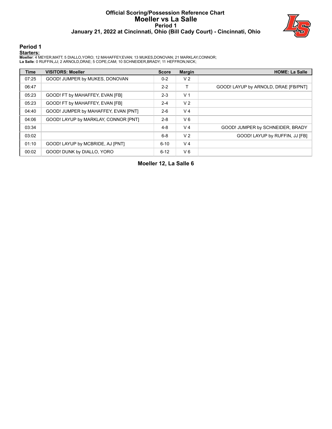## **Official Scoring/Possession Reference Chart Moeller vs La Salle Period 1 January 21, 2022 at Cincinnati, Ohio (Bill Cady Court) - Cincinnati, Ohio**



#### **Period 1**

#### **Starters:**

**Moeller**: 4 MEYER,MATT; 5 DIALLO,YORO; 12 MAHAFFEY,EVAN; 13 MUKES,DONOVAN; 21 MARKLAY,CONNOR; **La Salle**: 0 RUFFIN,JJ; 2 ARNOLD,DRAE; 5 COPE,CAM; 10 SCHNEIDER,BRADY; 11 HEFFRON,NICK;

| <b>Time</b> | <b>VISITORS: Moeller</b>             | <b>Score</b> | <b>Margin</b>  | <b>HOME: La Salle</b>                |
|-------------|--------------------------------------|--------------|----------------|--------------------------------------|
| 07:25       | GOOD! JUMPER by MUKES, DONOVAN       | $0 - 2$      | V <sub>2</sub> |                                      |
| 06:47       |                                      | $2 - 2$      | т              | GOOD! LAYUP by ARNOLD, DRAE [FB/PNT] |
| 05:23       | GOOD! FT by MAHAFFEY, EVAN [FB]      | $2 - 3$      | V <sub>1</sub> |                                      |
| 05:23       | GOOD! FT by MAHAFFEY, EVAN [FB]      | $2 - 4$      | V <sub>2</sub> |                                      |
| 04:40       | GOOD! JUMPER by MAHAFFEY, EVAN [PNT] | $2 - 6$      | V <sub>4</sub> |                                      |
| 04:06       | GOOD! LAYUP by MARKLAY, CONNOR [PNT] | $2 - 8$      | $V_6$          |                                      |
| 03:34       |                                      | $4 - 8$      | V <sub>4</sub> | GOOD! JUMPER by SCHNEIDER, BRADY     |
| 03:02       |                                      | $6 - 8$      | V <sub>2</sub> | GOOD! LAYUP by RUFFIN, JJ [FB]       |
| 01:10       | GOOD! LAYUP by MCBRIDE, AJ [PNT]     | 6-10         | V <sub>4</sub> |                                      |
| 00:02       | GOOD! DUNK by DIALLO, YORO           | $6 - 12$     | $V_6$          |                                      |

**Moeller 12, La Salle 6**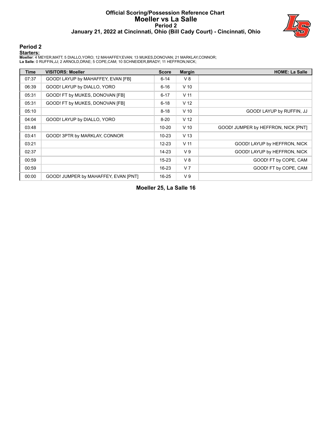## **Official Scoring/Possession Reference Chart Moeller vs La Salle Period 2 January 21, 2022 at Cincinnati, Ohio (Bill Cady Court) - Cincinnati, Ohio**



#### **Period 2**

#### **Starters:**

**Moeller**: 4 MEYER,MATT; 5 DIALLO,YORO; 12 MAHAFFEY,EVAN; 13 MUKES,DONOVAN; 21 MARKLAY,CONNOR; **La Salle**: 0 RUFFIN,JJ; 2 ARNOLD,DRAE; 5 COPE,CAM; 10 SCHNEIDER,BRADY; 11 HEFFRON,NICK;

| <b>Time</b> | <b>VISITORS: Moeller</b>             | <b>Score</b> | <b>Margin</b>   | <b>HOME: La Salle</b>               |
|-------------|--------------------------------------|--------------|-----------------|-------------------------------------|
| 07:37       | GOOD! LAYUP by MAHAFFEY, EVAN [FB]   | $6 - 14$     | V8              |                                     |
| 06:39       | GOOD! LAYUP by DIALLO, YORO          | $6 - 16$     | $V$ 10          |                                     |
| 05:31       | GOOD! FT by MUKES, DONOVAN [FB]      | $6 - 17$     | V <sub>11</sub> |                                     |
| 05:31       | GOOD! FT by MUKES, DONOVAN [FB]      | $6 - 18$     | V <sub>12</sub> |                                     |
| 05:10       |                                      | $8 - 18$     | $V$ 10          | GOOD! LAYUP by RUFFIN, JJ           |
| 04:04       | GOOD! LAYUP by DIALLO, YORO          | $8 - 20$     | V <sub>12</sub> |                                     |
| 03:48       |                                      | $10 - 20$    | $V$ 10          | GOOD! JUMPER by HEFFRON, NICK [PNT] |
| 03:41       | GOOD! 3PTR by MARKLAY, CONNOR        | $10 - 23$    | V <sub>13</sub> |                                     |
| 03:21       |                                      | $12 - 23$    | V <sub>11</sub> | GOOD! LAYUP by HEFFRON, NICK        |
| 02:37       |                                      | $14 - 23$    | V <sub>9</sub>  | GOOD! LAYUP by HEFFRON, NICK        |
| 00:59       |                                      | $15 - 23$    | V8              | GOOD! FT by COPE, CAM               |
| 00:59       |                                      | $16 - 23$    | V <sub>7</sub>  | GOOD! FT by COPE, CAM               |
| 00:00       | GOOD! JUMPER by MAHAFFEY, EVAN [PNT] | $16 - 25$    | V <sub>9</sub>  |                                     |

**Moeller 25, La Salle 16**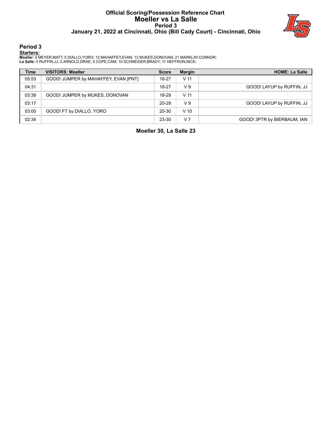#### **Official Scoring/Possession Reference Chart Moeller vs La Salle Period 3 January 21, 2022 at Cincinnati, Ohio (Bill Cady Court) - Cincinnati, Ohio**



### **Period 3**

#### **Starters:**

**Moeller**: 4 MEYER,MATT; 5 DIALLO,YORO; 12 MAHAFFEY,EVAN; 13 MUKES,DONOVAN; 21 MARKLAY,CONNOR; **La Salle**: 0 RUFFIN,JJ; 2 ARNOLD,DRAE; 5 COPE,CAM; 10 SCHNEIDER,BRADY; 11 HEFFRON,NICK;

| <b>Time</b> | <b>VISITORS: Moeller</b>             | <b>Score</b> | <b>Margin</b>   | <b>HOME: La Salle</b>       |
|-------------|--------------------------------------|--------------|-----------------|-----------------------------|
| 05:53       | GOOD! JUMPER by MAHAFFEY, EVAN [PNT] | 16-27        | V <sub>11</sub> |                             |
| 04:31       |                                      | 18-27        | V <sub>9</sub>  | GOOD! LAYUP by RUFFIN, JJ   |
| 03:38       | GOOD! JUMPER by MUKES, DONOVAN       | 18-29        | V 11            |                             |
| 03:17       |                                      | 20-29        | V <sub>9</sub>  | GOOD! LAYUP by RUFFIN, JJ   |
| 03:00       | GOOD! FT by DIALLO, YORO             | $20 - 30$    | $V$ 10          |                             |
| 02:34       |                                      | 23-30        | V <sub>7</sub>  | GOOD! 3PTR by BIERBAUM, IAN |

**Moeller 30, La Salle 23**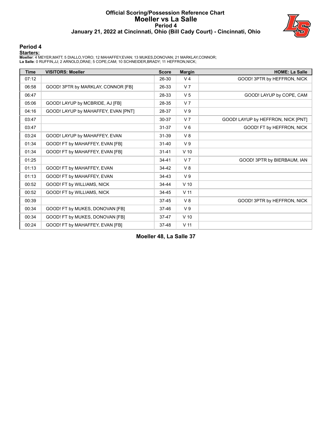#### **Official Scoring/Possession Reference Chart Moeller vs La Salle Period 4 January 21, 2022 at Cincinnati, Ohio (Bill Cady Court) - Cincinnati, Ohio**



#### **Period 4**

#### **Starters:**

**Moeller**: 4 MEYER,MATT; 5 DIALLO,YORO; 12 MAHAFFEY,EVAN; 13 MUKES,DONOVAN; 21 MARKLAY,CONNOR; **La Salle**: 0 RUFFIN,JJ; 2 ARNOLD,DRAE; 5 COPE,CAM; 10 SCHNEIDER,BRADY; 11 HEFFRON,NICK;

| <b>Time</b> | <b>VISITORS: Moeller</b>            | <b>Score</b> | <b>Margin</b>   | <b>HOME: La Salle</b>              |
|-------------|-------------------------------------|--------------|-----------------|------------------------------------|
| 07:12       |                                     | 26-30        | V <sub>4</sub>  | GOOD! 3PTR by HEFFRON, NICK        |
| 06:58       | GOOD! 3PTR by MARKLAY, CONNOR [FB]  | 26-33        | V <sub>7</sub>  |                                    |
| 06:47       |                                     | 28-33        | V <sub>5</sub>  | GOOD! LAYUP by COPE, CAM           |
| 05:06       | GOOD! LAYUP by MCBRIDE, AJ [FB]     | 28-35        | V <sub>7</sub>  |                                    |
| 04:16       | GOOD! LAYUP by MAHAFFEY, EVAN [PNT] | 28-37        | V <sub>9</sub>  |                                    |
| 03:47       |                                     | 30-37        | V <sub>7</sub>  | GOOD! LAYUP by HEFFRON, NICK [PNT] |
| 03:47       |                                     | $31 - 37$    | $V_6$           | GOOD! FT by HEFFRON, NICK          |
| 03:24       | GOOD! LAYUP by MAHAFFEY, EVAN       | 31-39        | $V_8$           |                                    |
| 01:34       | GOOD! FT by MAHAFFEY, EVAN [FB]     | $31 - 40$    | V <sub>9</sub>  |                                    |
| 01:34       | GOOD! FT by MAHAFFEY, EVAN [FB]     | $31 - 41$    | $V$ 10          |                                    |
| 01:25       |                                     | $34 - 41$    | V <sub>7</sub>  | GOOD! 3PTR by BIERBAUM, IAN        |
| 01:13       | GOOD! FT by MAHAFFEY, EVAN          | 34-42        | $V_8$           |                                    |
| 01:13       | GOOD! FT by MAHAFFEY, EVAN          | 34-43        | V <sub>9</sub>  |                                    |
| 00:52       | GOOD! FT by WILLIAMS, NICK          | 34-44        | $V$ 10          |                                    |
| 00:52       | GOOD! FT by WILLIAMS, NICK          | 34-45        | V <sub>11</sub> |                                    |
| 00:39       |                                     | $37 - 45$    | V8              | GOOD! 3PTR by HEFFRON, NICK        |
| 00:34       | GOOD! FT by MUKES, DONOVAN [FB]     | 37-46        | V <sub>9</sub>  |                                    |
| 00:34       | GOOD! FT by MUKES, DONOVAN [FB]     | $37 - 47$    | $V$ 10          |                                    |
| 00:24       | GOOD! FT by MAHAFFEY, EVAN [FB]     | 37-48        | V <sub>11</sub> |                                    |

**Moeller 48, La Salle 37**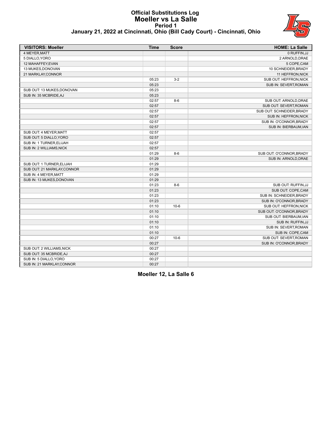#### **Official Substitutions Log Moeller vs La Salle Period 1 January 21, 2022 at Cincinnati, Ohio (Bill Cady Court) - Cincinnati, Ohio**



| <b>VISITORS: Moeller</b>    | <b>Time</b> | <b>Score</b> | <b>HOME: La Salle</b>     |
|-----------------------------|-------------|--------------|---------------------------|
| 4 MEYER.MATT                |             |              | 0 RUFFIN.JJ               |
| 5 DIALLO, YORO              |             |              | 2 ARNOLD, DRAE            |
| 12 MAHAFFEY, EVAN           |             |              | 5 COPE, CAM               |
| 13 MUKES, DONOVAN           |             |              | 10 SCHNEIDER, BRADY       |
| 21 MARKLAY, CONNOR          |             |              | 11 HEFFRON, NICK          |
|                             | 05:23       | $3-2$        | SUB OUT: HEFFRON, NICK    |
|                             | 05:23       |              | SUB IN: SEVERT, ROMAN     |
| SUB OUT: 13 MUKES, DONOVAN  | 05:23       |              |                           |
| SUB IN: 35 MCBRIDE, AJ      | 05:23       |              |                           |
|                             | 02:57       | $8-6$        | SUB OUT: ARNOLD, DRAE     |
|                             | 02:57       |              | SUB OUT: SEVERT, ROMAN    |
|                             | 02:57       |              | SUB OUT: SCHNEIDER, BRADY |
|                             | 02:57       |              | SUB IN: HEFFRON, NICK     |
|                             | 02:57       |              | SUB IN: O'CONNOR, BRADY   |
|                             | 02:57       |              | SUB IN: BIERBAUM, IAN     |
| SUB OUT: 4 MEYER, MATT      | 02:57       |              |                           |
| SUB OUT: 5 DIALLO, YORO     | 02:57       |              |                           |
| SUB IN: 1 TURNER, ELIJAH    | 02:57       |              |                           |
| SUB IN: 2 WILLIAMS, NICK    | 02:57       |              |                           |
|                             | 01:29       | $8-6$        | SUB OUT: O'CONNOR, BRADY  |
|                             | 01:29       |              | SUB IN: ARNOLD, DRAE      |
| SUB OUT: 1 TURNER, ELIJAH   | 01:29       |              |                           |
| SUB OUT: 21 MARKLAY, CONNOR | 01:29       |              |                           |
| SUB IN: 4 MEYER, MATT       | 01:29       |              |                           |
| SUB IN: 13 MUKES, DONOVAN   | 01:29       |              |                           |
|                             | 01:23       | $8-6$        | SUB OUT: RUFFIN, JJ       |
|                             | 01:23       |              | SUB OUT: COPE, CAM        |
|                             | 01:23       |              | SUB IN: SCHNEIDER, BRADY  |
|                             | 01:23       |              | SUB IN: O'CONNOR, BRADY   |
|                             | 01:10       | $10 - 6$     | SUB OUT: HEFFRON, NICK    |
|                             | 01:10       |              | SUB OUT: O'CONNOR, BRADY  |
|                             | 01:10       |              | SUB OUT: BIERBAUM, IAN    |
|                             | 01:10       |              | SUB IN: RUFFIN, JJ        |
|                             | 01:10       |              | SUB IN: SEVERT, ROMAN     |
|                             | 01:10       |              | SUB IN: COPE, CAM         |
|                             | 00:27       | $10 - 6$     | SUB OUT: SEVERT, ROMAN    |
|                             | 00:27       |              | SUB IN: O'CONNOR, BRADY   |
| SUB OUT: 2 WILLIAMS, NICK   | 00:27       |              |                           |
| SUB OUT: 35 MCBRIDE, AJ     | 00:27       |              |                           |
| SUB IN: 5 DIALLO, YORO      | 00:27       |              |                           |
| SUB IN: 21 MARKLAY, CONNOR  | 00:27       |              |                           |
|                             |             |              |                           |

**Moeller 12, La Salle 6**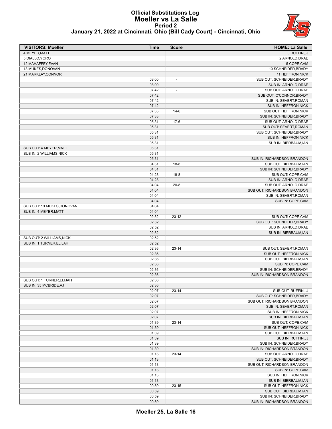

#### **Official Substitutions Log Moeller vs La Salle Period 2 January 21, 2022 at Cincinnati, Ohio (Bill Cady Court) - Cincinnati, Ohio**

| <b>VISITORS: Moeller</b>   | <b>Time</b> | <b>Score</b>             | <b>HOME: La Salle</b>        |
|----------------------------|-------------|--------------------------|------------------------------|
| 4 MEYER, MATT              |             |                          | 0 RUFFIN, JJ                 |
| 5 DIALLO, YORO             |             |                          | 2 ARNOLD, DRAE               |
| 12 MAHAFFEY.EVAN           |             |                          | 5 COPE, CAM                  |
| 13 MUKES, DONOVAN          |             |                          | 10 SCHNEIDER, BRADY          |
| 21 MARKLAY, CONNOR         |             |                          | 11 HEFFRON, NICK             |
|                            | 08:00       | $\overline{\phantom{a}}$ | SUB OUT: SCHNEIDER, BRADY    |
|                            | 08:00       |                          | SUB IN: ARNOLD, DRAE         |
|                            | 07:42       | $\overline{\phantom{a}}$ | SUB OUT: ARNOLD, DRAE        |
|                            | 07:42       |                          | SUB OUT: O'CONNOR, BRADY     |
|                            | 07:42       |                          | SUB IN: SEVERT, ROMAN        |
|                            | 07:42       |                          | SUB IN: HEFFRON, NICK        |
|                            | 07:33       | $14-6$                   | SUB OUT: HEFFRON, NICK       |
|                            | 07:33       |                          | SUB IN: SCHNEIDER, BRADY     |
|                            | 05:31       | $17-6$                   | SUB OUT: ARNOLD, DRAE        |
|                            | 05:31       |                          | SUB OUT: SEVERT, ROMAN       |
|                            | 05:31       |                          | SUB OUT: SCHNEIDER, BRADY    |
|                            | 05:31       |                          | SUB IN: HEFFRON, NICK        |
|                            | 05:31       |                          | SUB IN: BIERBAUM, IAN        |
| SUB OUT: 4 MEYER, MATT     | 05:31       |                          |                              |
| SUB IN: 2 WILLIAMS, NICK   | 05:31       |                          |                              |
|                            | 05:31       |                          | SUB IN: RICHARDSON, BRANDON  |
|                            | 04:31       | $18 - 8$                 | SUB OUT: BIERBAUM, IAN       |
|                            | 04:31       |                          | SUB IN: SCHNEIDER, BRADY     |
|                            | 04:28       | $18 - 8$                 | SUB OUT: COPE, CAM           |
|                            | 04:28       |                          | SUB IN: ARNOLD, DRAE         |
|                            | 04:04       | $20 - 8$                 | SUB OUT: ARNOLD, DRAE        |
|                            | 04:04       |                          | SUB OUT: RICHARDSON, BRANDON |
|                            | 04:04       |                          | SUB IN: SEVERT, ROMAN        |
|                            | 04:04       |                          | SUB IN: COPE, CAM            |
| SUB OUT: 13 MUKES, DONOVAN | 04:04       |                          |                              |
| SUB IN: 4 MEYER, MATT      | 04:04       |                          |                              |
|                            | 02:52       | $23 - 12$                | SUB OUT: COPE, CAM           |
|                            | 02:52       |                          | SUB OUT: SCHNEIDER, BRADY    |
|                            | 02:52       |                          | SUB IN: ARNOLD, DRAE         |
|                            | 02:52       |                          | SUB IN: BIERBAUM, IAN        |
| SUB OUT: 2 WILLIAMS, NICK  | 02:52       |                          |                              |
| SUB IN: 1 TURNER, ELIJAH   | 02:52       |                          |                              |
|                            | 02:36       | $23 - 14$                | SUB OUT: SEVERT, ROMAN       |
|                            | 02:36       |                          | SUB OUT: HEFFRON, NICK       |
|                            | 02:36       |                          | SUB OUT: BIERBAUM, IAN       |
|                            | 02:36       |                          | SUB IN: COPE, CAM            |
|                            | 02:36       |                          | SUB IN: SCHNEIDER, BRADY     |
|                            | 02:36       |                          | SUB IN: RICHARDSON, BRANDON  |
| SUB OUT: 1 TURNER, ELIJAH  | 02:36       |                          |                              |
| SUB IN: 35 MCBRIDE.AJ      | 02:36       |                          |                              |
|                            | 02:07       | $23-14$                  | SUB OUT: RUFFIN, JJ          |
|                            | 02:07       |                          | SUB OUT: SCHNEIDER, BRADY    |
|                            | 02:07       |                          | SUB OUT: RICHARDSON, BRANDON |
|                            | 02:07       |                          | SUB IN: SEVERT, ROMAN        |
|                            | 02:07       |                          | SUB IN: HEFFRON, NICK        |
|                            | 02:07       |                          | SUB IN: BIERBAUM, IAN        |
|                            | 01:39       | $23 - 14$                | SUB OUT: COPE, CAM           |
|                            | 01:39       |                          | SUB OUT: HEFFRON, NICK       |
|                            | 01:39       |                          | SUB OUT: BIERBAUM, IAN       |
|                            | 01:39       |                          | SUB IN: RUFFIN, JJ           |
|                            | 01:39       |                          | SUB IN: SCHNEIDER, BRADY     |
|                            | 01:39       |                          | SUB IN: RICHARDSON, BRANDON  |
|                            | 01:13       | $23 - 14$                | SUB OUT: ARNOLD, DRAE        |
|                            | 01:13       |                          | SUB OUT: SCHNEIDER, BRADY    |
|                            | 01:13       |                          | SUB OUT: RICHARDSON, BRANDON |
|                            | 01:13       |                          | SUB IN: COPE, CAM            |
|                            | 01:13       |                          | SUB IN: HEFFRON, NICK        |
|                            | 01:13       |                          | SUB IN: BIERBAUM, IAN        |
|                            | 00:59       | $23 - 15$                | SUB OUT: HEFFRON, NICK       |
|                            | 00:59       |                          | SUB OUT: BIERBAUM, IAN       |
|                            | 00:59       |                          | SUB IN: SCHNEIDER, BRADY     |
|                            | 00:59       |                          | SUB IN: RICHARDSON, BRANDON  |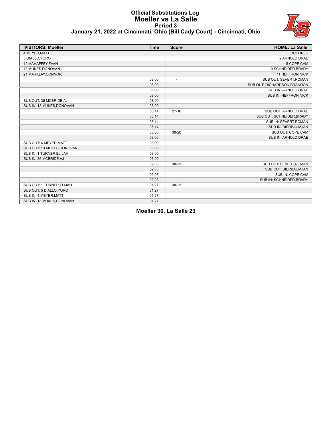#### **Official Substitutions Log Moeller vs La Salle Period 3 January 21, 2022 at Cincinnati, Ohio (Bill Cady Court) - Cincinnati, Ohio**



| <b>VISITORS: Moeller</b>   | <b>Time</b> | <b>Score</b>             | <b>HOME: La Salle</b>        |
|----------------------------|-------------|--------------------------|------------------------------|
| 4 MEYER, MATT              |             |                          | 0 RUFFIN, JJ                 |
| 5 DIALLO, YORO             |             |                          | 2 ARNOLD, DRAE               |
| 12 MAHAFFEY, EVAN          |             |                          | 5 COPE, CAM                  |
| 13 MUKES, DONOVAN          |             |                          | 10 SCHNEIDER, BRADY          |
| 21 MARKLAY, CONNOR         |             |                          | 11 HEFFRON, NICK             |
|                            | 08:00       | $\overline{\phantom{a}}$ | SUB OUT: SEVERT, ROMAN       |
|                            | 08:00       |                          | SUB OUT: RICHARDSON, BRANDON |
|                            | 08:00       |                          | SUB IN: ARNOLD, DRAE         |
|                            | 08:00       |                          | SUB IN: HEFFRON, NICK        |
| SUB OUT: 35 MCBRIDE, AJ    | 08:00       |                          |                              |
| SUB IN: 13 MUKES, DONOVAN  | 08:00       |                          |                              |
|                            | 05:14       | $27-16$                  | SUB OUT: ARNOLD, DRAE        |
|                            | 05:14       |                          | SUB OUT: SCHNEIDER, BRADY    |
|                            | 05:14       |                          | SUB IN: SEVERT, ROMAN        |
|                            | 05:14       |                          | SUB IN: BIERBAUM, IAN        |
|                            | 03:00       | $30 - 20$                | SUB OUT: COPE,CAM            |
|                            | 03:00       |                          | SUB IN: ARNOLD, DRAE         |
| SUB OUT: 4 MEYER, MATT     | 03:00       |                          |                              |
| SUB OUT: 13 MUKES, DONOVAN | 03:00       |                          |                              |
| SUB IN: 1 TURNER, ELIJAH   | 03:00       |                          |                              |
| SUB IN: 35 MCBRIDE, AJ     | 03:00       |                          |                              |
|                            | 02:03       | 30-23                    | SUB OUT: SEVERT, ROMAN       |
|                            | 02:03       |                          | SUB OUT: BIERBAUM, IAN       |
|                            | 02:03       |                          | SUB IN: COPE, CAM            |
|                            | 02:03       |                          | SUB IN: SCHNEIDER, BRADY     |
| SUB OUT: 1 TURNER, ELIJAH  | 01:27       | 30-23                    |                              |
| SUB OUT: 5 DIALLO, YORO    | 01:27       |                          |                              |
| SUB IN: 4 MEYER, MATT      | 01:27       |                          |                              |
| SUB IN: 13 MUKES, DONOVAN  | 01:27       |                          |                              |

**Moeller 30, La Salle 23**